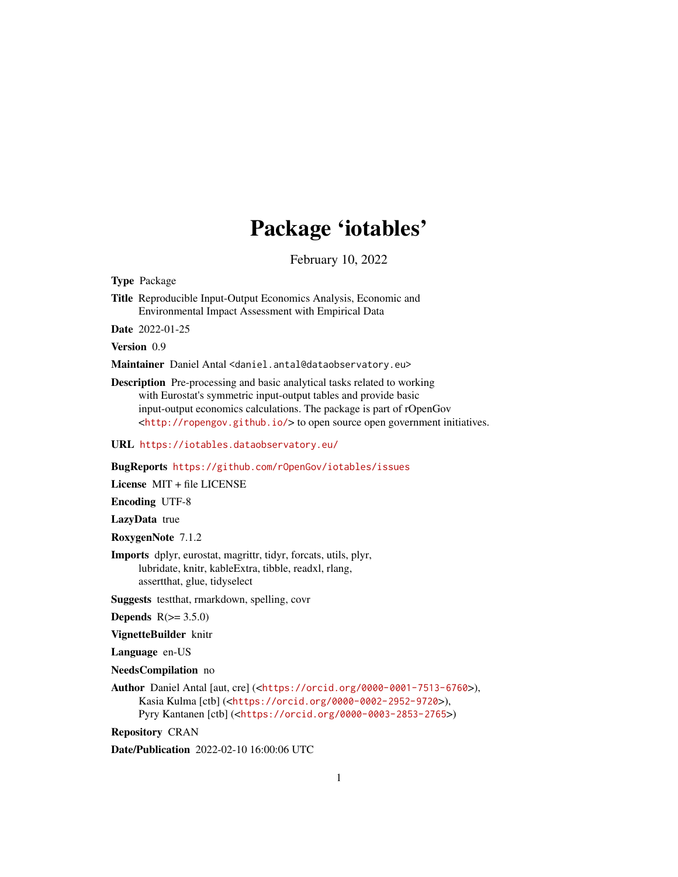# Package 'iotables'

February 10, 2022

<span id="page-0-0"></span>Type Package

Title Reproducible Input-Output Economics Analysis, Economic and Environmental Impact Assessment with Empirical Data

Date 2022-01-25

Version 0.9

Maintainer Daniel Antal <daniel.antal@dataobservatory.eu>

Description Pre-processing and basic analytical tasks related to working with Eurostat's symmetric input-output tables and provide basic input-output economics calculations. The package is part of rOpenGov <<http://ropengov.github.io/>> to open source open government initiatives.

URL <https://iotables.dataobservatory.eu/>

#### BugReports <https://github.com/rOpenGov/iotables/issues>

License MIT + file LICENSE

Encoding UTF-8

LazyData true

RoxygenNote 7.1.2

Imports dplyr, eurostat, magrittr, tidyr, forcats, utils, plyr, lubridate, knitr, kableExtra, tibble, readxl, rlang, assertthat, glue, tidyselect

Suggests testthat, rmarkdown, spelling, covr

- **Depends**  $R(>= 3.5.0)$
- VignetteBuilder knitr

Language en-US

NeedsCompilation no

Author Daniel Antal [aut, cre] (<<https://orcid.org/0000-0001-7513-6760>>), Kasia Kulma [ctb] (<<https://orcid.org/0000-0002-2952-9720>>), Pyry Kantanen [ctb] (<<https://orcid.org/0000-0003-2853-2765>>)

Repository CRAN

Date/Publication 2022-02-10 16:00:06 UTC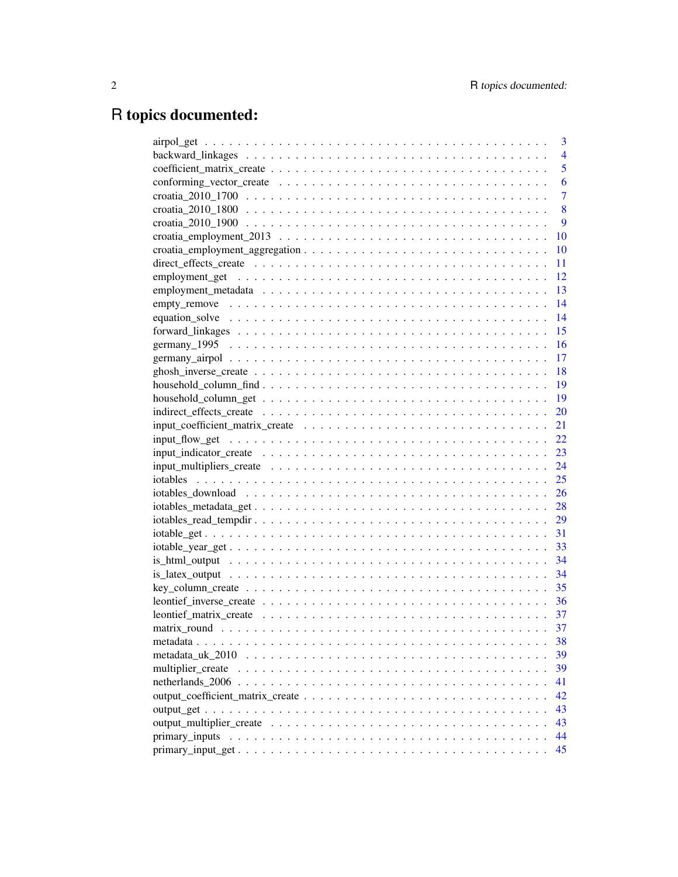# R topics documented:

| 3              |
|----------------|
| $\overline{4}$ |
| 5              |
| 6              |
| $\overline{7}$ |
| 8              |
| 9              |
| 10             |
| 10             |
| 11             |
| 12             |
| 13             |
| 14             |
| 14             |
| 15             |
| 16             |
| 17             |
| -18            |
|                |
| - 19           |
| 20             |
|                |
|                |
|                |
|                |
|                |
|                |
|                |
|                |
|                |
|                |
|                |
|                |
|                |
|                |
|                |
| 37             |
| 38             |
| 39             |
| 39             |
| 41             |
| 42             |
| 43             |
| 43             |
| 44             |
| 45             |
|                |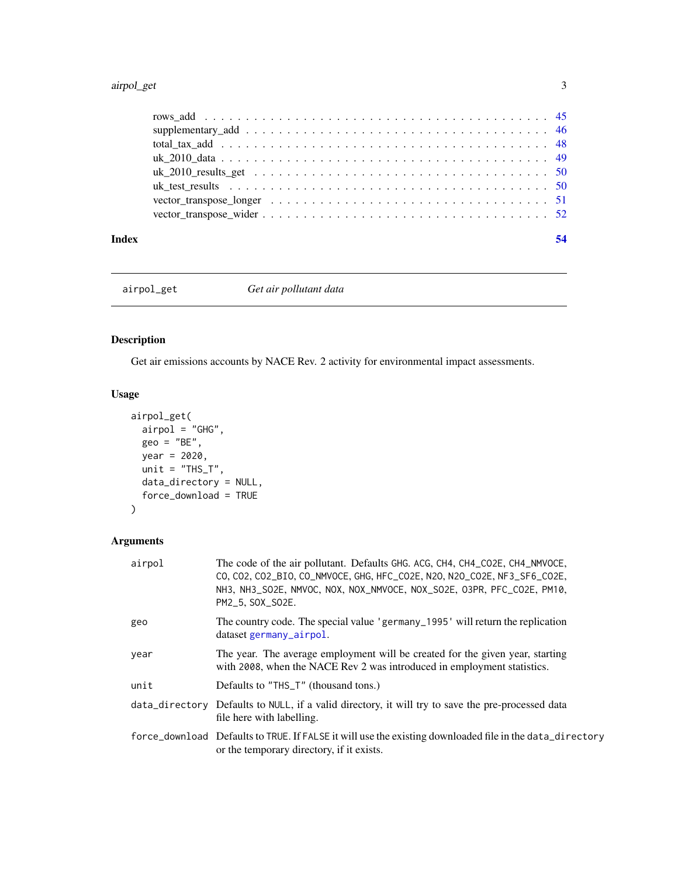### <span id="page-2-0"></span>airpol\_get 3

### <span id="page-2-1"></span>airpol\_get *Get air pollutant data*

### Description

Get air emissions accounts by NACE Rev. 2 activity for environmental impact assessments.

### Usage

```
airpol_get(
 airpol = "GHG",geo = "BE",year = 2020,unit = "THS_T",data_directory = NULL,
  force_download = TRUE
)
```
### Arguments

| airpol | The code of the air pollutant. Defaults GHG, ACG, CH4, CH4_CO2E, CH4_NMVOCE,<br>CO, CO2, CO2_BIO, CO_NMVOCE, GHG, HFC_CO2E, N2O, N2O_CO2E, NF3_SF6_CO2E,<br>NH3, NH3_SO2E, NMVOC, NOX, NOX_NMVOCE, NOX_SO2E, O3PR, PFC_CO2E, PM10,<br>PM2_5, SOX_SO2E. |
|--------|--------------------------------------------------------------------------------------------------------------------------------------------------------------------------------------------------------------------------------------------------------|
| geo    | The country code. The special value 'germany_1995' will return the replication<br>dataset germany_airpol.                                                                                                                                              |
| year   | The year. The average employment will be created for the given year, starting<br>with 2008, when the NACE Rev 2 was introduced in employment statistics.                                                                                               |
| unit   | Defaults to "THS_T" (thousand tons.)                                                                                                                                                                                                                   |
|        | data_directory Defaults to NULL, if a valid directory, it will try to save the pre-processed data<br>file here with labelling.                                                                                                                         |
|        | force_download Defaults to TRUE. If FALSE it will use the existing downloaded file in the data_directory<br>or the temporary directory, if it exists.                                                                                                  |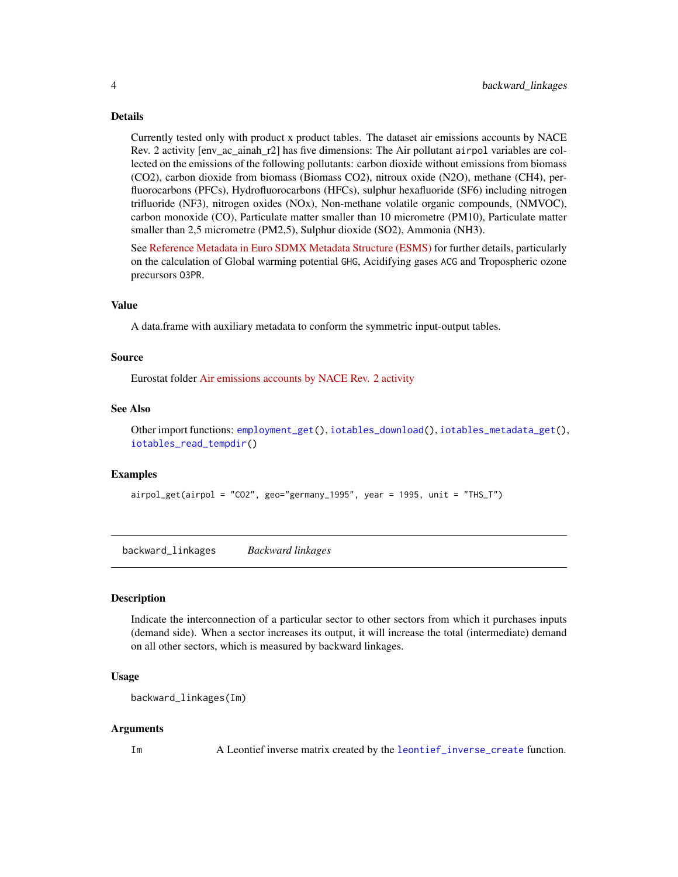Currently tested only with product x product tables. The dataset air emissions accounts by NACE Rev. 2 activity [env\_ac\_ainah\_r2] has five dimensions: The Air pollutant airpol variables are collected on the emissions of the following pollutants: carbon dioxide without emissions from biomass (CO2), carbon dioxide from biomass (Biomass CO2), nitroux oxide (N2O), methane (CH4), perfluorocarbons (PFCs), Hydrofluorocarbons (HFCs), sulphur hexafluoride (SF6) including nitrogen trifluoride (NF3), nitrogen oxides (NOx), Non-methane volatile organic compounds, (NMVOC), carbon monoxide (CO), Particulate matter smaller than 10 micrometre (PM10), Particulate matter smaller than 2,5 micrometre (PM2,5), Sulphur dioxide (SO2), Ammonia (NH3).

See [Reference Metadata in Euro SDMX Metadata Structure \(ESMS\)](https://ec.europa.eu/eurostat/cache/metadata/en/env_ac_ainah_r2_esms.htm) for further details, particularly on the calculation of Global warming potential GHG, Acidifying gases ACG and Tropospheric ozone precursors O3PR.

### Value

A data.frame with auxiliary metadata to conform the symmetric input-output tables.

#### Source

Eurostat folder [Air emissions accounts by NACE Rev. 2 activity](http://appsso.eurostat.ec.europa.eu/nui/show.do?lang=en&dataset=env_ac_ainah_r2)

#### See Also

Other import functions: [employment\\_get\(](#page-11-1)), [iotables\\_download\(](#page-25-1)), [iotables\\_metadata\\_get\(](#page-27-1)), [iotables\\_read\\_tempdir\(](#page-28-1))

#### Examples

airpol\_get(airpol = "CO2", geo="germany\_1995", year = 1995, unit = "THS\_T")

<span id="page-3-1"></span>backward\_linkages *Backward linkages*

#### **Description**

Indicate the interconnection of a particular sector to other sectors from which it purchases inputs (demand side). When a sector increases its output, it will increase the total (intermediate) demand on all other sectors, which is measured by backward linkages.

### Usage

```
backward_linkages(Im)
```
#### Arguments

Im A Leontief inverse matrix created by the [leontief\\_inverse\\_create](#page-35-1) function.

<span id="page-3-0"></span>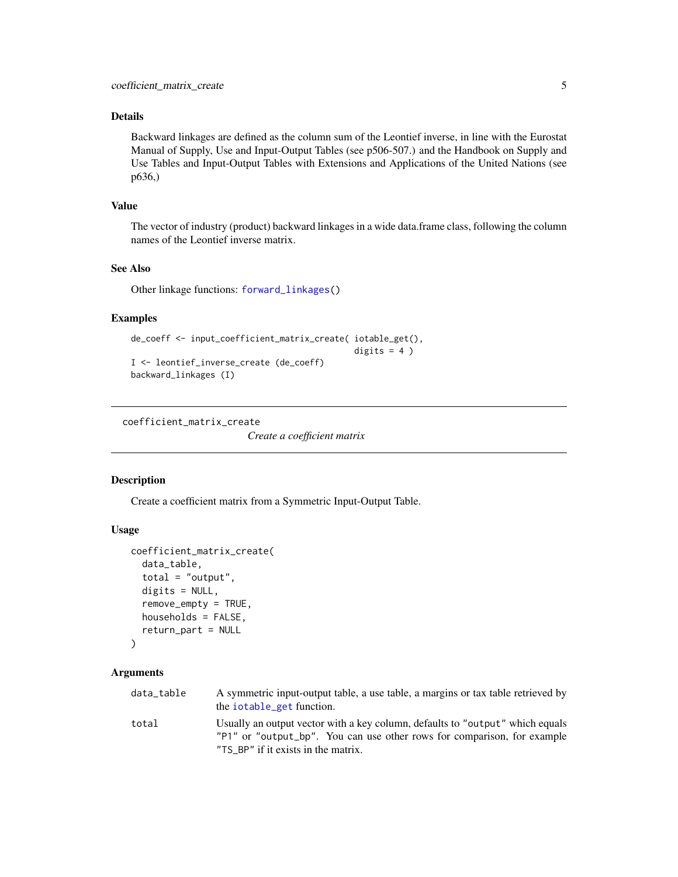<span id="page-4-0"></span>Backward linkages are defined as the column sum of the Leontief inverse, in line with the Eurostat Manual of Supply, Use and Input-Output Tables (see p506-507.) and the Handbook on Supply and Use Tables and Input-Output Tables with Extensions and Applications of the United Nations (see p636,)

### Value

The vector of industry (product) backward linkages in a wide data.frame class, following the column names of the Leontief inverse matrix.

### See Also

Other linkage functions: [forward\\_linkages\(](#page-14-1))

### Examples

```
de_coeff <- input_coefficient_matrix_create( iotable_get(),
                                            digits = 4)
```
I <- leontief\_inverse\_create (de\_coeff) backward\_linkages (I)

<span id="page-4-1"></span>coefficient\_matrix\_create

*Create a coefficient matrix*

### Description

Create a coefficient matrix from a Symmetric Input-Output Table.

### Usage

```
coefficient_matrix_create(
  data_table,
  total = "output",
  digits = NULL,
  remove_empty = TRUE,
  households = FALSE,
  return_part = NULL
)
```
#### Arguments

| data table | A symmetric input-output table, a use table, a margins or tax table retrieved by<br>the iotable_get function.                                            |
|------------|----------------------------------------------------------------------------------------------------------------------------------------------------------|
| total      | Usually an output vector with a key column, defaults to "output" which equals<br>"P1" or "output_bp". You can use other rows for comparison, for example |
|            | "TS_BP" if it exists in the matrix.                                                                                                                      |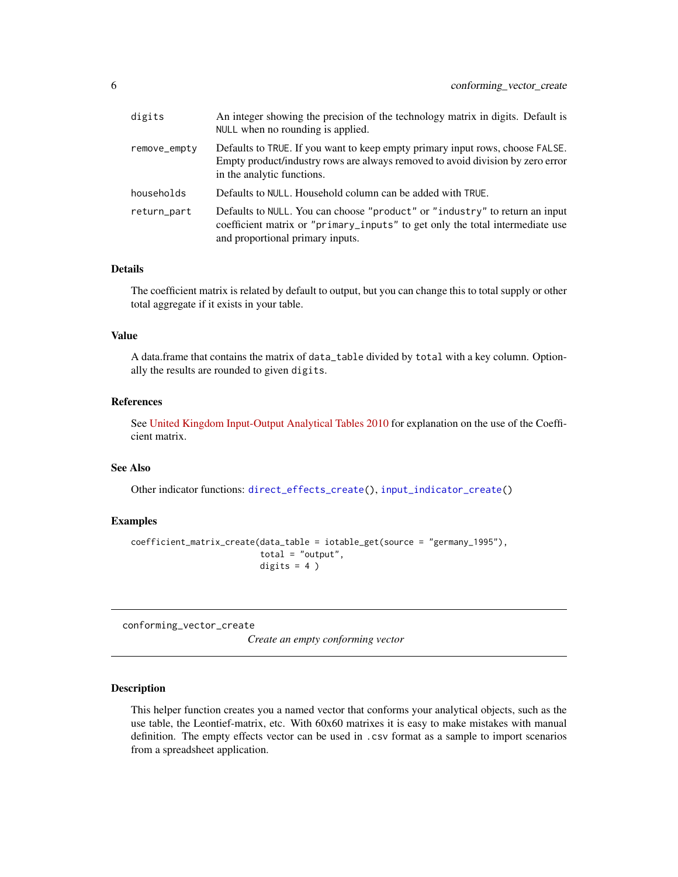<span id="page-5-0"></span>

| digits       | An integer showing the precision of the technology matrix in digits. Default is<br>NULL when no rounding is applied.                                                                             |
|--------------|--------------------------------------------------------------------------------------------------------------------------------------------------------------------------------------------------|
| remove_empty | Defaults to TRUE. If you want to keep empty primary input rows, choose FALSE.<br>Empty product/industry rows are always removed to avoid division by zero error<br>in the analytic functions.    |
| households   | Defaults to NULL. Household column can be added with TRUE.                                                                                                                                       |
| return_part  | Defaults to NULL. You can choose "product" or "industry" to return an input<br>coefficient matrix or "primary_inputs" to get only the total intermediate use<br>and proportional primary inputs. |

The coefficient matrix is related by default to output, but you can change this to total supply or other total aggregate if it exists in your table.

### Value

A data.frame that contains the matrix of data\_table divided by total with a key column. Optionally the results are rounded to given digits.

### References

See [United Kingdom Input-Output Analytical Tables 2010](https://webarchive.nationalarchives.gov.uk/20160114044923/http://www.ons.gov.uk/ons/rel/input-output/input-output-analytical-tables/2010/index.html) for explanation on the use of the Coefficient matrix.

### See Also

Other indicator functions: [direct\\_effects\\_create\(](#page-10-1)), [input\\_indicator\\_create\(](#page-22-1))

### Examples

```
coefficient_matrix_create(data_table = iotable_get(source = "germany_1995"),
                          total = "output",
                          digits = 4)
```
<span id="page-5-1"></span>conforming\_vector\_create

*Create an empty conforming vector*

### Description

This helper function creates you a named vector that conforms your analytical objects, such as the use table, the Leontief-matrix, etc. With 60x60 matrixes it is easy to make mistakes with manual definition. The empty effects vector can be used in .csv format as a sample to import scenarios from a spreadsheet application.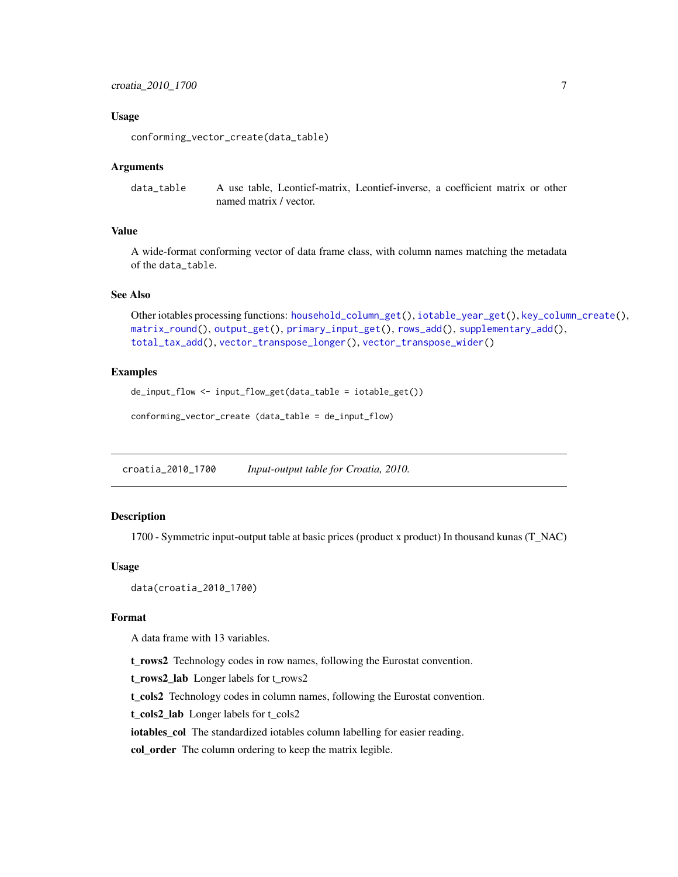### <span id="page-6-0"></span>Usage

```
conforming_vector_create(data_table)
```
#### Arguments

data\_table A use table, Leontief-matrix, Leontief-inverse, a coefficient matrix or other named matrix / vector.

### Value

A wide-format conforming vector of data frame class, with column names matching the metadata of the data\_table.

#### See Also

Other iotables processing functions: [household\\_column\\_get\(](#page-18-1)), [iotable\\_year\\_get\(](#page-32-1)), [key\\_column\\_create\(](#page-34-1)), [matrix\\_round\(](#page-36-1)), [output\\_get\(](#page-42-1)), [primary\\_input\\_get\(](#page-44-1)), [rows\\_add\(](#page-44-2)), [supplementary\\_add\(](#page-45-1)), [total\\_tax\\_add\(](#page-47-1)), [vector\\_transpose\\_longer\(](#page-50-1)), [vector\\_transpose\\_wider\(](#page-51-1))

#### Examples

de\_input\_flow <- input\_flow\_get(data\_table = iotable\_get())

conforming\_vector\_create (data\_table = de\_input\_flow)

<span id="page-6-1"></span>croatia\_2010\_1700 *Input-output table for Croatia, 2010.*

#### Description

1700 - Symmetric input-output table at basic prices (product x product) In thousand kunas (T\_NAC)

#### Usage

```
data(croatia_2010_1700)
```
### Format

A data frame with 13 variables.

t\_rows2 Technology codes in row names, following the Eurostat convention.

t\_rows2\_lab Longer labels for t\_rows2

t\_cols2 Technology codes in column names, following the Eurostat convention.

t\_cols2\_lab Longer labels for t\_cols2

iotables\_col The standardized iotables column labelling for easier reading.

col\_order The column ordering to keep the matrix legible.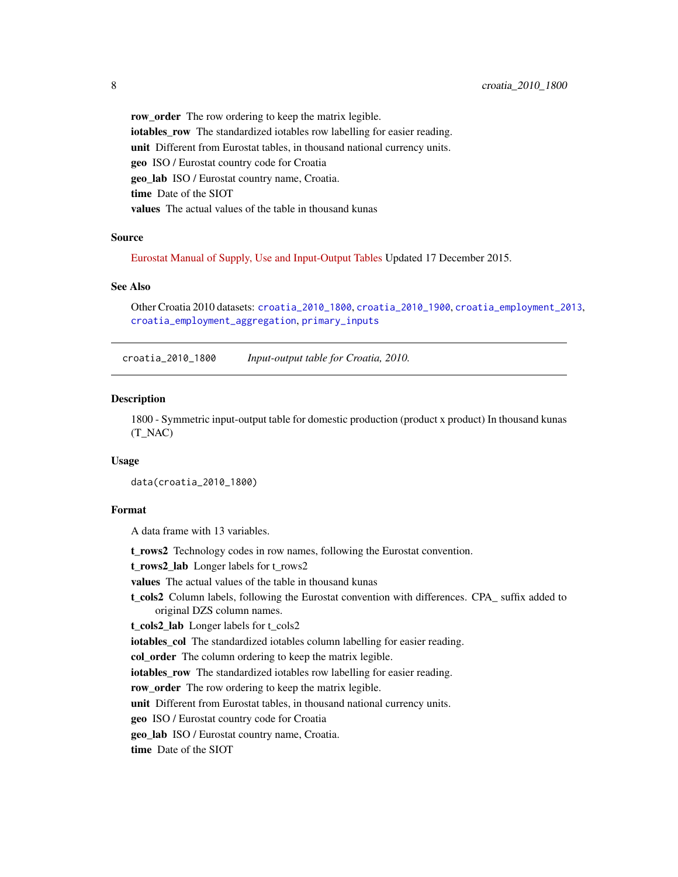<span id="page-7-0"></span>row\_order The row ordering to keep the matrix legible. iotables\_row The standardized iotables row labelling for easier reading. unit Different from Eurostat tables, in thousand national currency units. geo ISO / Eurostat country code for Croatia geo lab ISO / Eurostat country name, Croatia. time Date of the SIOT values The actual values of the table in thousand kunas

#### Source

[Eurostat Manual of Supply, Use and Input-Output Tables](https://www.dzs.hr/Hrv_Eng/publication/2015/12-01-04_01_2015.xlsx) Updated 17 December 2015.

#### See Also

Other Croatia 2010 datasets: [croatia\\_2010\\_1800](#page-7-1), [croatia\\_2010\\_1900](#page-8-1), [croatia\\_employment\\_2013](#page-9-1), [croatia\\_employment\\_aggregation](#page-9-2), [primary\\_inputs](#page-43-1)

<span id="page-7-1"></span>croatia\_2010\_1800 *Input-output table for Croatia, 2010.*

#### Description

1800 - Symmetric input-output table for domestic production (product x product) In thousand kunas (T\_NAC)

#### Usage

data(croatia\_2010\_1800)

### Format

A data frame with 13 variables.

t\_rows2 Technology codes in row names, following the Eurostat convention.

t\_rows2\_lab Longer labels for t\_rows2

values The actual values of the table in thousand kunas

t\_cols2 Column labels, following the Eurostat convention with differences. CPA\_ suffix added to original DZS column names.

t\_cols2\_lab Longer labels for t\_cols2

iotables\_col The standardized iotables column labelling for easier reading.

col\_order The column ordering to keep the matrix legible.

iotables row The standardized iotables row labelling for easier reading.

row\_order The row ordering to keep the matrix legible.

unit Different from Eurostat tables, in thousand national currency units.

geo ISO / Eurostat country code for Croatia

geo\_lab ISO / Eurostat country name, Croatia.

time Date of the SIOT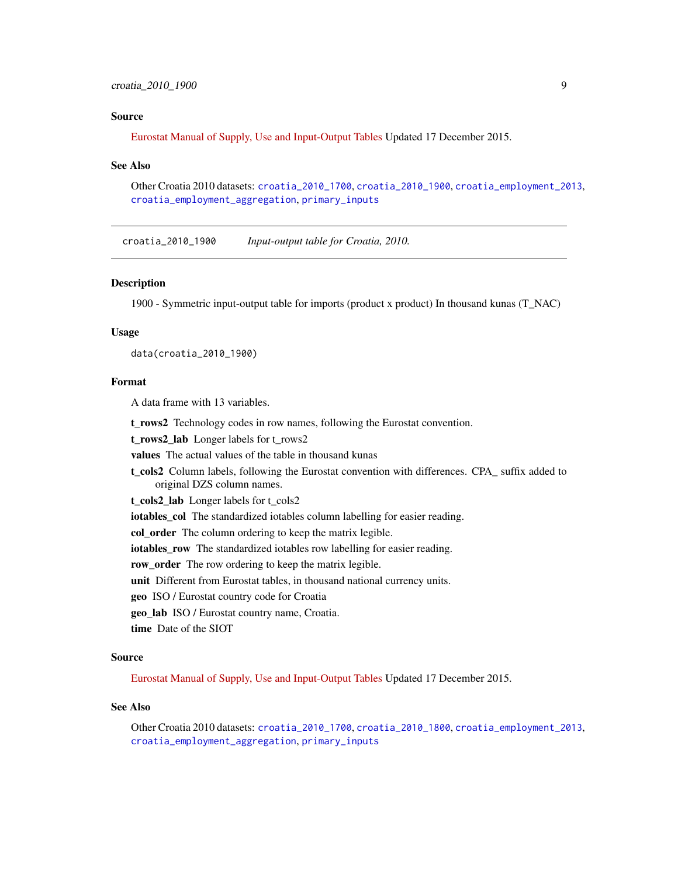### <span id="page-8-0"></span>croatia\_2010\_1900 9

#### Source

[Eurostat Manual of Supply, Use and Input-Output Tables](https://www.dzs.hr/Hrv_Eng/publication/2015/12-01-04_01_2015.xlsx) Updated 17 December 2015.

#### See Also

Other Croatia 2010 datasets: [croatia\\_2010\\_1700](#page-6-1), [croatia\\_2010\\_1900](#page-8-1), [croatia\\_employment\\_2013](#page-9-1), [croatia\\_employment\\_aggregation](#page-9-2), [primary\\_inputs](#page-43-1)

<span id="page-8-1"></span>croatia\_2010\_1900 *Input-output table for Croatia, 2010.*

#### Description

1900 - Symmetric input-output table for imports (product x product) In thousand kunas (T\_NAC)

#### Usage

data(croatia\_2010\_1900)

#### Format

A data frame with 13 variables.

t\_rows2 Technology codes in row names, following the Eurostat convention.

t\_rows2\_lab Longer labels for t\_rows2

values The actual values of the table in thousand kunas

t\_cols2 Column labels, following the Eurostat convention with differences. CPA\_ suffix added to original DZS column names.

t\_cols2\_lab Longer labels for t\_cols2

iotables\_col The standardized iotables column labelling for easier reading.

col\_order The column ordering to keep the matrix legible.

iotables\_row The standardized iotables row labelling for easier reading.

row\_order The row ordering to keep the matrix legible.

unit Different from Eurostat tables, in thousand national currency units.

geo ISO / Eurostat country code for Croatia

geo\_lab ISO / Eurostat country name, Croatia.

time Date of the SIOT

#### Source

[Eurostat Manual of Supply, Use and Input-Output Tables](https://www.dzs.hr/Hrv_Eng/publication/2015/12-01-04_01_2015.xlsx) Updated 17 December 2015.

### See Also

Other Croatia 2010 datasets: [croatia\\_2010\\_1700](#page-6-1), [croatia\\_2010\\_1800](#page-7-1), [croatia\\_employment\\_2013](#page-9-1), [croatia\\_employment\\_aggregation](#page-9-2), [primary\\_inputs](#page-43-1)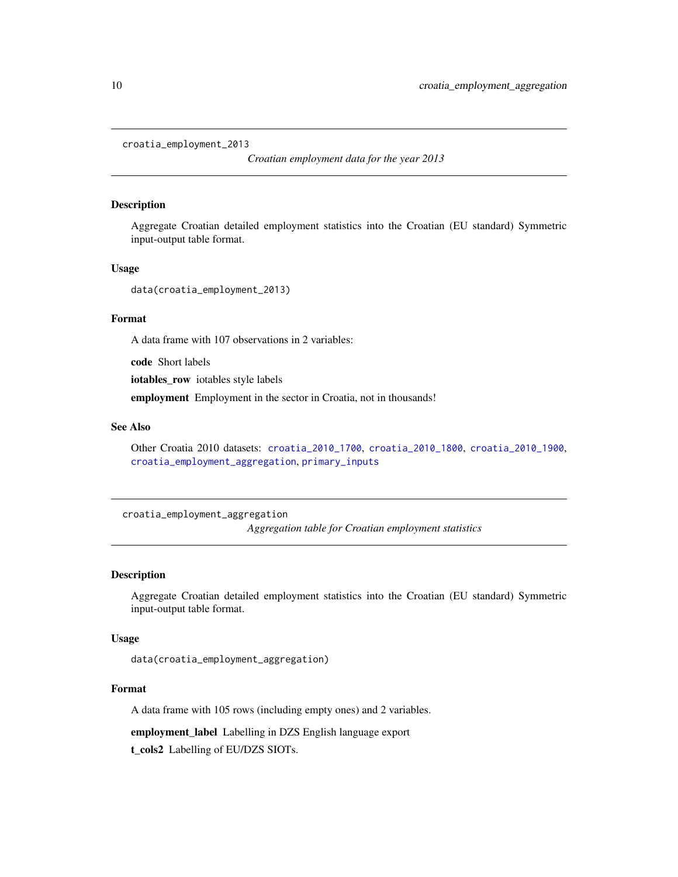<span id="page-9-1"></span><span id="page-9-0"></span>croatia\_employment\_2013

*Croatian employment data for the year 2013*

#### Description

Aggregate Croatian detailed employment statistics into the Croatian (EU standard) Symmetric input-output table format.

#### Usage

data(croatia\_employment\_2013)

### Format

A data frame with 107 observations in 2 variables:

code Short labels

iotables\_row iotables style labels

employment Employment in the sector in Croatia, not in thousands!

### See Also

Other Croatia 2010 datasets: [croatia\\_2010\\_1700](#page-6-1), [croatia\\_2010\\_1800](#page-7-1), [croatia\\_2010\\_1900](#page-8-1), [croatia\\_employment\\_aggregation](#page-9-2), [primary\\_inputs](#page-43-1)

<span id="page-9-2"></span>croatia\_employment\_aggregation

*Aggregation table for Croatian employment statistics*

#### Description

Aggregate Croatian detailed employment statistics into the Croatian (EU standard) Symmetric input-output table format.

### Usage

data(croatia\_employment\_aggregation)

### Format

A data frame with 105 rows (including empty ones) and 2 variables.

employment\_label Labelling in DZS English language export t\_cols2 Labelling of EU/DZS SIOTs.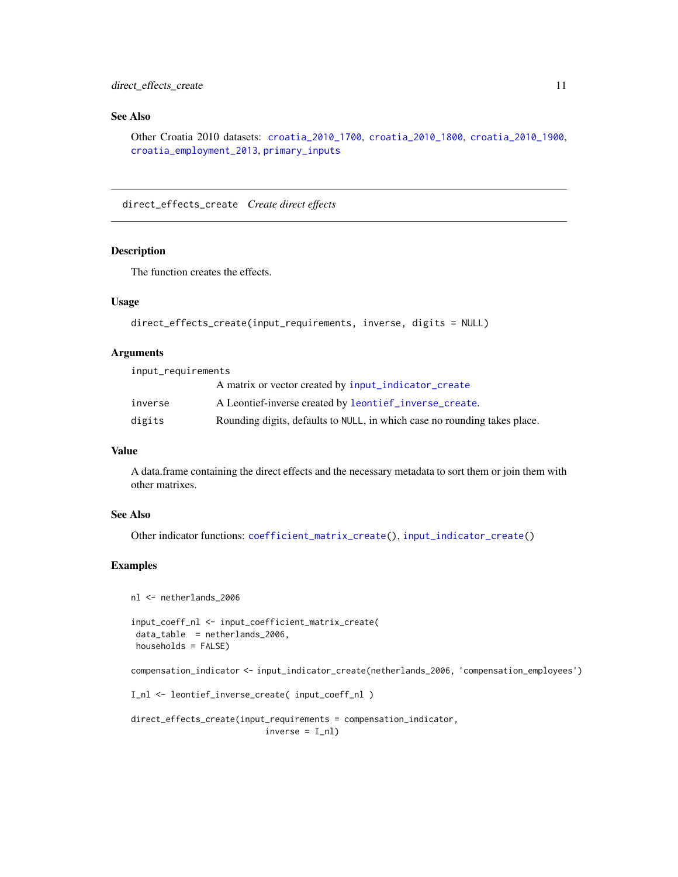### <span id="page-10-0"></span>See Also

Other Croatia 2010 datasets: [croatia\\_2010\\_1700](#page-6-1), [croatia\\_2010\\_1800](#page-7-1), [croatia\\_2010\\_1900](#page-8-1), [croatia\\_employment\\_2013](#page-9-1), [primary\\_inputs](#page-43-1)

<span id="page-10-1"></span>direct\_effects\_create *Create direct effects*

#### Description

The function creates the effects.

### Usage

```
direct_effects_create(input_requirements, inverse, digits = NULL)
```
#### Arguments

input\_requirements

|         | A matrix or vector created by input_indicator_create                      |
|---------|---------------------------------------------------------------------------|
| inverse | A Leontief-inverse created by leontief_inverse_create.                    |
| digits  | Rounding digits, defaults to NULL, in which case no rounding takes place. |

### Value

A data.frame containing the direct effects and the necessary metadata to sort them or join them with other matrixes.

#### See Also

Other indicator functions: [coefficient\\_matrix\\_create\(](#page-4-1)), [input\\_indicator\\_create\(](#page-22-1))

### Examples

```
nl <- netherlands_2006
input_coeff_nl <- input_coefficient_matrix_create(
 data_table = netherlands_2006,
 households = FALSE)
```
compensation\_indicator <- input\_indicator\_create(netherlands\_2006, 'compensation\_employees')

```
I_nl <- leontief_inverse_create( input_coeff_nl )
```

```
direct_effects_create(input_requirements = compensation_indicator,
                          inverse = I_n]
```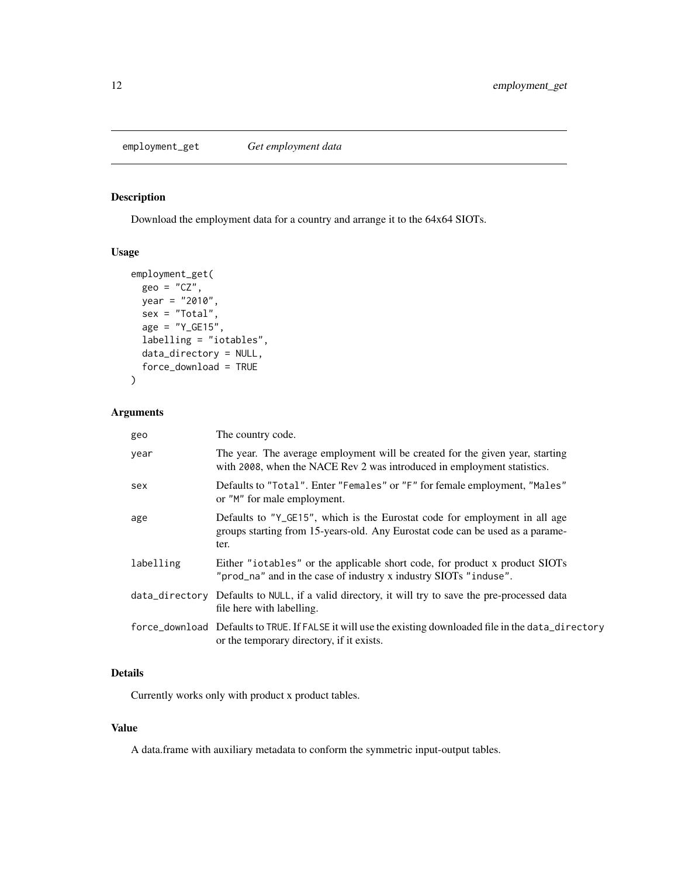<span id="page-11-1"></span><span id="page-11-0"></span>

### Description

Download the employment data for a country and arrange it to the 64x64 SIOTs.

### Usage

```
employment_get(
 geo = "CZ",year = "2010",
 sex = "Total",
 age = "Y_GE15",labelling = "iotables",
 data_directory = NULL,
  force_download = TRUE
)
```
### Arguments

| geo       | The country code.                                                                                                                                                   |
|-----------|---------------------------------------------------------------------------------------------------------------------------------------------------------------------|
| year      | The year. The average employment will be created for the given year, starting<br>with 2008, when the NACE Rev 2 was introduced in employment statistics.            |
| sex       | Defaults to "Total". Enter "Females" or "F" for female employment, "Males"<br>or "M" for male employment.                                                           |
| age       | Defaults to "Y_GE15", which is the Eurostat code for employment in all age<br>groups starting from 15-years-old. Any Eurostat code can be used as a parame-<br>ter. |
| labelling | Either "iotables" or the applicable short code, for product x product SIOTs<br>"prod_na" and in the case of industry x industry SIOTs "induse".                     |
|           | data_directory Defaults to NULL, if a valid directory, it will try to save the pre-processed data<br>file here with labelling.                                      |
|           | force_download Defaults to TRUE. If FALSE it will use the existing downloaded file in the data_directory<br>or the temporary directory, if it exists.               |

### Details

Currently works only with product x product tables.

### Value

A data.frame with auxiliary metadata to conform the symmetric input-output tables.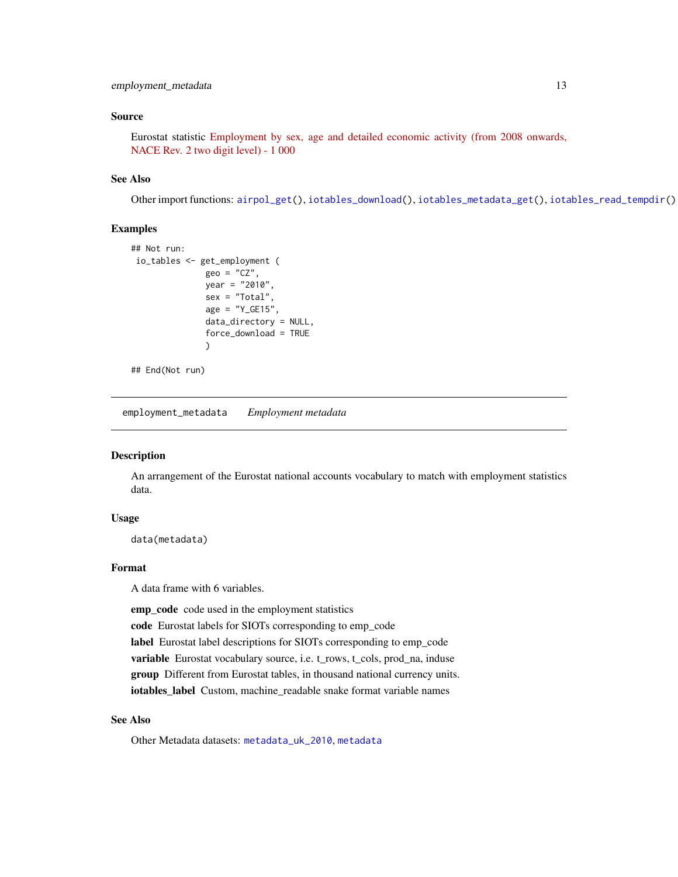### <span id="page-12-0"></span>Source

Eurostat statistic [Employment by sex, age and detailed economic activity \(from 2008 onwards,](http://appsso.eurostat.ec.europa.eu/nui/show.do?dataset=lfsq_egan22d&lang=en) [NACE Rev. 2 two digit level\) - 1 000](http://appsso.eurostat.ec.europa.eu/nui/show.do?dataset=lfsq_egan22d&lang=en)

### See Also

Other import functions: [airpol\\_get\(](#page-2-1)), [iotables\\_download\(](#page-25-1)), [iotables\\_metadata\\_get\(](#page-27-1)), [iotables\\_read\\_tempdir\(](#page-28-1))

#### Examples

```
## Not run:
io_tables <- get_employment (
               geo = "CZ",year = "2010",
               sex = "Total"age = "Y_GE15",data_directory = NULL,
               force_download = TRUE
               )
```
## End(Not run)

<span id="page-12-1"></span>employment\_metadata *Employment metadata*

### **Description**

An arrangement of the Eurostat national accounts vocabulary to match with employment statistics data.

#### Usage

data(metadata)

### Format

A data frame with 6 variables.

emp\_code code used in the employment statistics

code Eurostat labels for SIOTs corresponding to emp\_code

label Eurostat label descriptions for SIOTs corresponding to emp\_code

variable Eurostat vocabulary source, i.e. t\_rows, t\_cols, prod\_na, induse

group Different from Eurostat tables, in thousand national currency units.

iotables\_label Custom, machine\_readable snake format variable names

### See Also

Other Metadata datasets: [metadata\\_uk\\_2010](#page-38-1), [metadata](#page-37-1)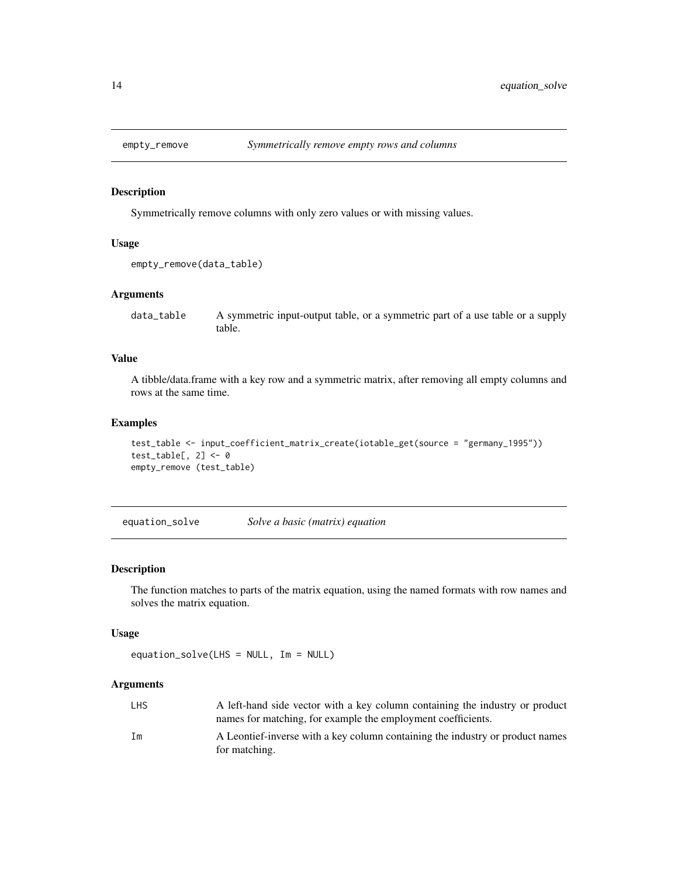<span id="page-13-1"></span><span id="page-13-0"></span>

#### Description

Symmetrically remove columns with only zero values or with missing values.

### Usage

```
empty_remove(data_table)
```
#### Arguments

data\_table A symmetric input-output table, or a symmetric part of a use table or a supply table.

### Value

A tibble/data.frame with a key row and a symmetric matrix, after removing all empty columns and rows at the same time.

#### Examples

```
test_table <- input_coefficient_matrix_create(iotable_get(source = "germany_1995"))
test_table[, 2] < -0empty_remove (test_table)
```
<span id="page-13-2"></span>equation\_solve *Solve a basic (matrix) equation*

### Description

The function matches to parts of the matrix equation, using the named formats with row names and solves the matrix equation.

### Usage

```
equation_solve(LHS = NULL, Im = NULL)
```
### Arguments

| <b>LHS</b> | A left-hand side vector with a key column containing the industry or product<br>names for matching, for example the employment coefficients. |
|------------|----------------------------------------------------------------------------------------------------------------------------------------------|
| Im         | A Leontief-inverse with a key column containing the industry or product names<br>for matching.                                               |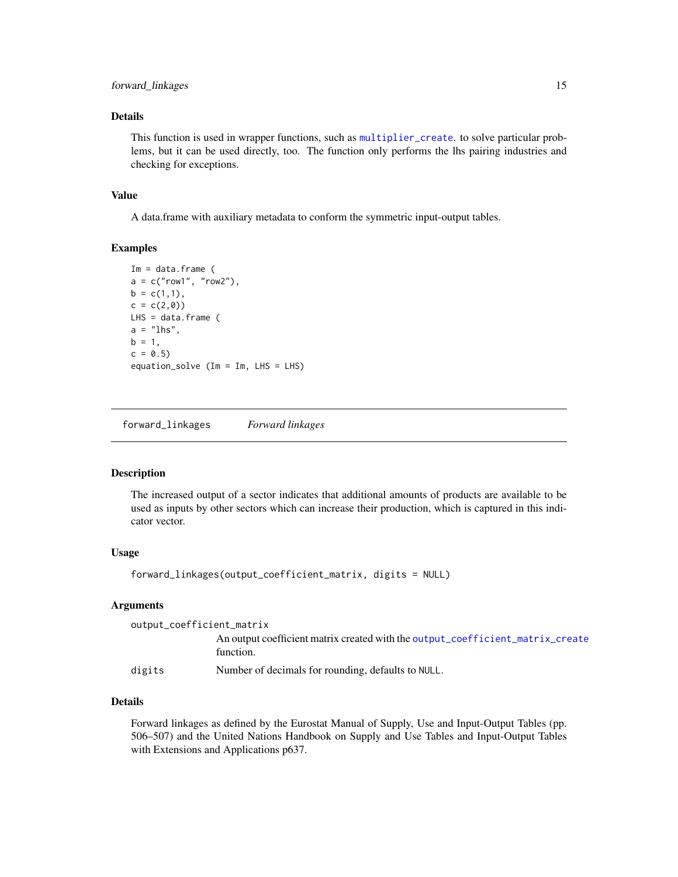<span id="page-14-0"></span>This function is used in wrapper functions, such as [multiplier\\_create](#page-38-2). to solve particular problems, but it can be used directly, too. The function only performs the lhs pairing industries and checking for exceptions.

### Value

A data.frame with auxiliary metadata to conform the symmetric input-output tables.

#### Examples

```
Im = data.frame (a = c("row1", "row2"),b = c(1,1),c = c(2,0)LHS = data. frame (
a = "lhs",b = 1,c = 0.5equation_solve (Im = Im, LHS = LHS)
```
<span id="page-14-1"></span>forward\_linkages *Forward linkages*

### Description

The increased output of a sector indicates that additional amounts of products are available to be used as inputs by other sectors which can increase their production, which is captured in this indicator vector.

### Usage

```
forward_linkages(output_coefficient_matrix, digits = NULL)
```
#### Arguments

| output_coefficient_matrix |                                                                                             |  |
|---------------------------|---------------------------------------------------------------------------------------------|--|
|                           | An output coefficient matrix created with the output_coefficient_matrix_create<br>function. |  |
| digits                    | Number of decimals for rounding, defaults to NULL.                                          |  |

### Details

Forward linkages as defined by the Eurostat Manual of Supply, Use and Input-Output Tables (pp. 506–507) and the United Nations Handbook on Supply and Use Tables and Input-Output Tables with Extensions and Applications p637.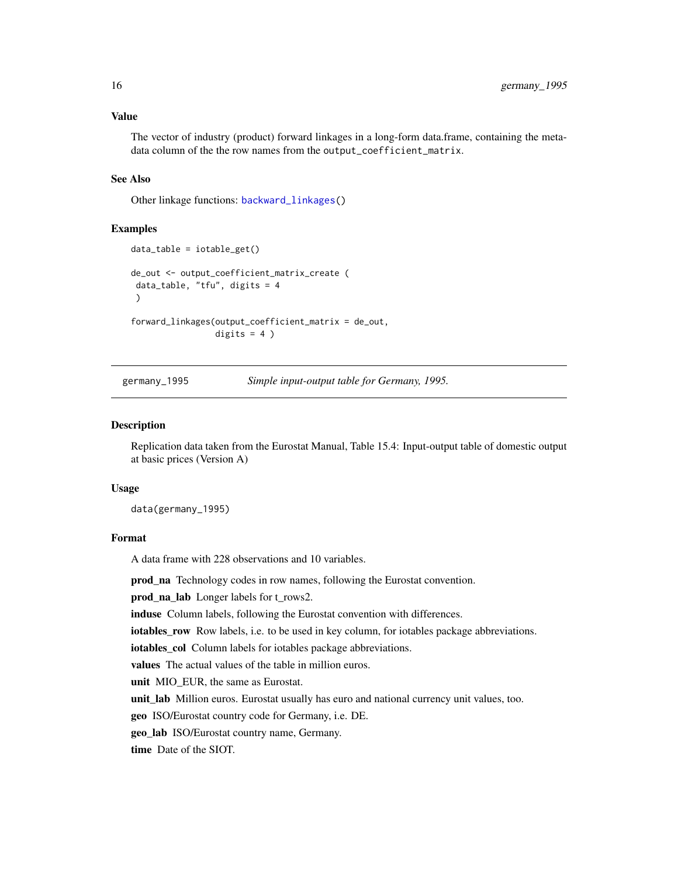<span id="page-15-0"></span>The vector of industry (product) forward linkages in a long-form data.frame, containing the metadata column of the the row names from the output\_coefficient\_matrix.

### See Also

Other linkage functions: [backward\\_linkages\(](#page-3-1))

#### Examples

```
data_table = iotable_get()
de_out <- output_coefficient_matrix_create (
data_table, "tfu", digits = 4
 \mathcal{L}forward_linkages(output_coefficient_matrix = de_out,
                  digits = 4)
```
germany\_1995 *Simple input-output table for Germany, 1995.*

#### Description

Replication data taken from the Eurostat Manual, Table 15.4: Input-output table of domestic output at basic prices (Version A)

#### Usage

data(germany\_1995)

#### Format

A data frame with 228 observations and 10 variables.

prod\_na Technology codes in row names, following the Eurostat convention.

prod\_na\_lab Longer labels for t\_rows2.

induse Column labels, following the Eurostat convention with differences.

iotables\_row Row labels, i.e. to be used in key column, for iotables package abbreviations.

iotables\_col Column labels for iotables package abbreviations.

values The actual values of the table in million euros.

unit MIO\_EUR, the same as Eurostat.

unit\_lab Million euros. Eurostat usually has euro and national currency unit values, too.

geo ISO/Eurostat country code for Germany, i.e. DE.

geo\_lab ISO/Eurostat country name, Germany.

time Date of the SIOT.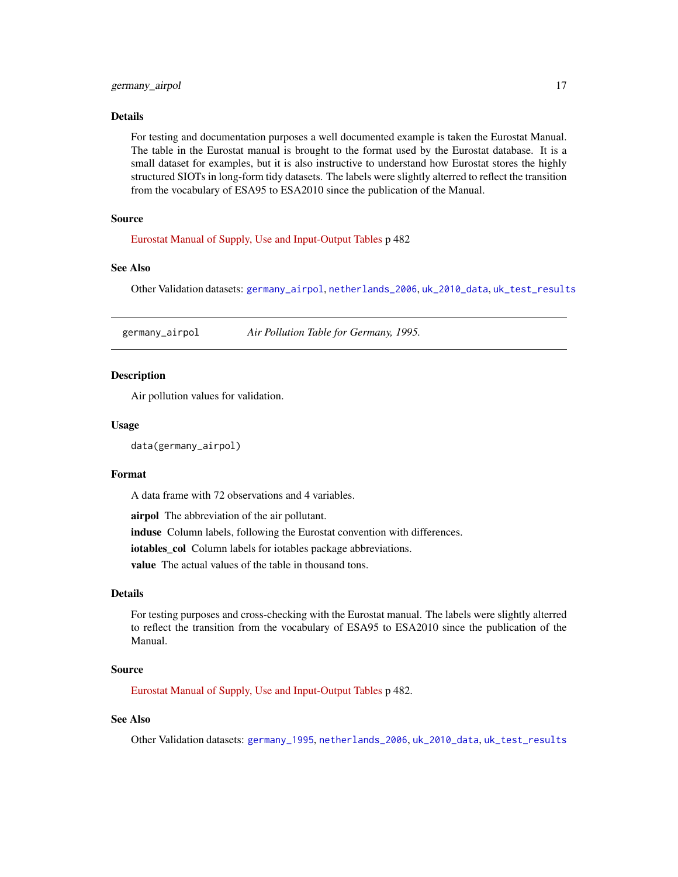<span id="page-16-0"></span>For testing and documentation purposes a well documented example is taken the Eurostat Manual. The table in the Eurostat manual is brought to the format used by the Eurostat database. It is a small dataset for examples, but it is also instructive to understand how Eurostat stores the highly structured SIOTs in long-form tidy datasets. The labels were slightly alterred to reflect the transition from the vocabulary of ESA95 to ESA2010 since the publication of the Manual.

#### Source

[Eurostat Manual of Supply, Use and Input-Output Tables](https://ec.europa.eu/eurostat/documents/3859598/5902113/KS-RA-07-013-EN.PDF/b0b3d71e-3930-4442-94be-70b36cea9b39?version=1.0) p 482

### See Also

Other Validation datasets: [germany\\_airpol](#page-16-1), [netherlands\\_2006](#page-40-1), [uk\\_2010\\_data](#page-48-1), [uk\\_test\\_results](#page-49-1)

<span id="page-16-1"></span>germany\_airpol *Air Pollution Table for Germany, 1995.*

### Description

Air pollution values for validation.

#### Usage

```
data(germany_airpol)
```
### Format

A data frame with 72 observations and 4 variables.

airpol The abbreviation of the air pollutant.

induse Column labels, following the Eurostat convention with differences.

iotables\_col Column labels for iotables package abbreviations.

value The actual values of the table in thousand tons.

#### Details

For testing purposes and cross-checking with the Eurostat manual. The labels were slightly alterred to reflect the transition from the vocabulary of ESA95 to ESA2010 since the publication of the Manual.

#### Source

[Eurostat Manual of Supply, Use and Input-Output Tables](https://ec.europa.eu/eurostat/documents/3859598/5902113/KS-RA-07-013-EN.PDF/b0b3d71e-3930-4442-94be-70b36cea9b39?version=1.0) p 482.

### See Also

Other Validation datasets: [germany\\_1995](#page-15-1), [netherlands\\_2006](#page-40-1), [uk\\_2010\\_data](#page-48-1), [uk\\_test\\_results](#page-49-1)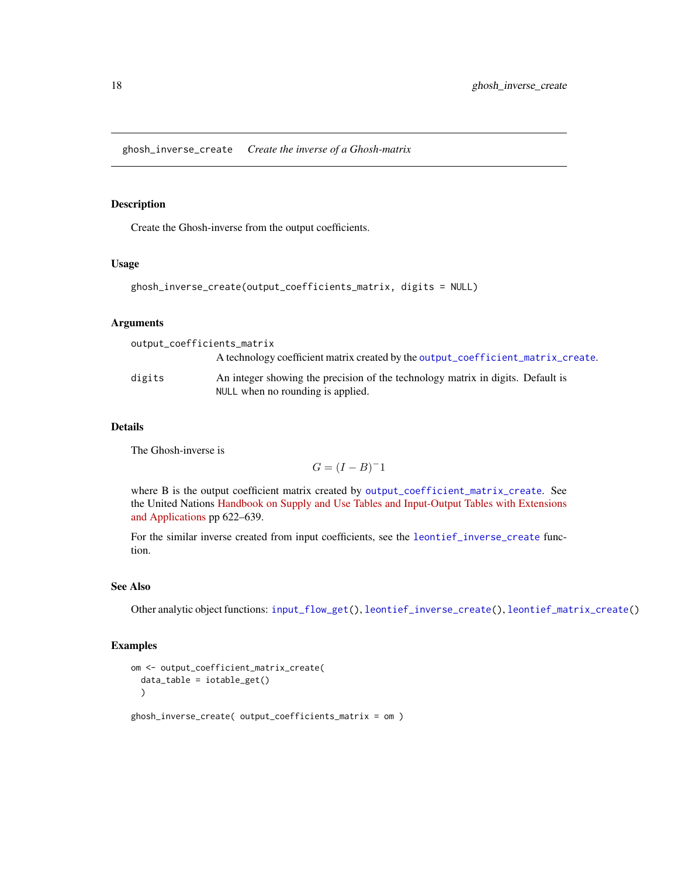#### <span id="page-17-1"></span><span id="page-17-0"></span>Description

Create the Ghosh-inverse from the output coefficients.

### Usage

```
ghosh_inverse_create(output_coefficients_matrix, digits = NULL)
```
### Arguments

| output_coefficients_matrix |                                                                                                                      |
|----------------------------|----------------------------------------------------------------------------------------------------------------------|
|                            | A technology coefficient matrix created by the output_coefficient_matrix_create.                                     |
| digits                     | An integer showing the precision of the technology matrix in digits. Default is<br>NULL when no rounding is applied. |

### Details

The Ghosh-inverse is

 $G = (I - B)^{-1}$ 

where B is the output coefficient matrix created by [output\\_coefficient\\_matrix\\_create](#page-41-1). See the United Nations [Handbook on Supply and Use Tables and Input-Output Tables with Extensions](https://unstats.un.org/unsd/nationalaccount/docs/SUT_IOT_HB_Final_Cover.pdf) [and Applications](https://unstats.un.org/unsd/nationalaccount/docs/SUT_IOT_HB_Final_Cover.pdf) pp 622–639.

For the similar inverse created from input coefficients, see the [leontief\\_inverse\\_create](#page-35-1) function.

#### See Also

Other analytic object functions: [input\\_flow\\_get\(](#page-21-1)), [leontief\\_inverse\\_create\(](#page-35-1)), [leontief\\_matrix\\_create\(](#page-36-2))

### Examples

```
om <- output_coefficient_matrix_create(
  data_table = iotable_get()
  \lambda
```
ghosh\_inverse\_create( output\_coefficients\_matrix = om )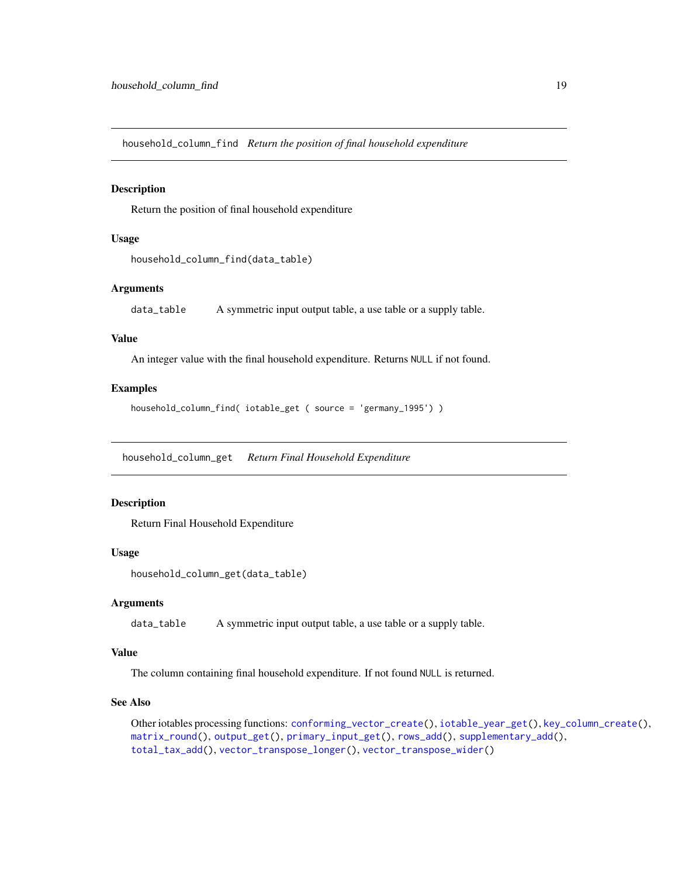<span id="page-18-0"></span>household\_column\_find *Return the position of final household expenditure*

### Description

Return the position of final household expenditure

### Usage

```
household_column_find(data_table)
```
### Arguments

data\_table A symmetric input output table, a use table or a supply table.

#### Value

An integer value with the final household expenditure. Returns NULL if not found.

### Examples

```
household_column_find( iotable_get ( source = 'germany_1995') )
```
<span id="page-18-1"></span>household\_column\_get *Return Final Household Expenditure*

### Description

Return Final Household Expenditure

### Usage

```
household_column_get(data_table)
```
### Arguments

data\_table A symmetric input output table, a use table or a supply table.

### Value

The column containing final household expenditure. If not found NULL is returned.

### See Also

Other iotables processing functions: [conforming\\_vector\\_create\(](#page-5-1)), [iotable\\_year\\_get\(](#page-32-1)), [key\\_column\\_create\(](#page-34-1)), [matrix\\_round\(](#page-36-1)), [output\\_get\(](#page-42-1)), [primary\\_input\\_get\(](#page-44-1)), [rows\\_add\(](#page-44-2)), [supplementary\\_add\(](#page-45-1)), [total\\_tax\\_add\(](#page-47-1)), [vector\\_transpose\\_longer\(](#page-50-1)), [vector\\_transpose\\_wider\(](#page-51-1))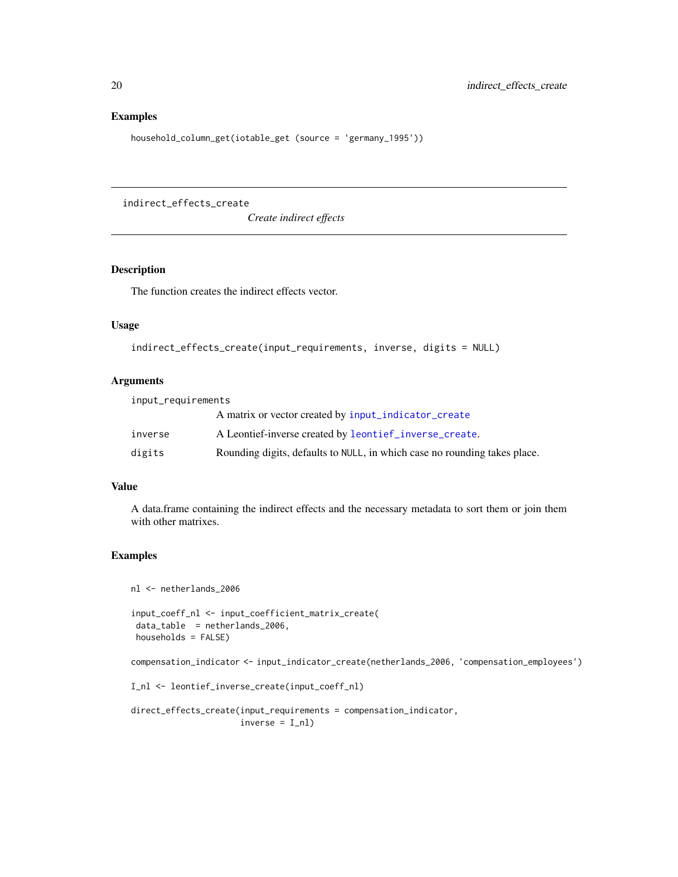### Examples

```
household_column_get(iotable_get (source = 'germany_1995'))
```
indirect\_effects\_create

*Create indirect effects*

### Description

The function creates the indirect effects vector.

### Usage

```
indirect_effects_create(input_requirements, inverse, digits = NULL)
```
#### Arguments

| input_requirements |                                                                           |
|--------------------|---------------------------------------------------------------------------|
|                    | A matrix or vector created by input_indicator_create                      |
| inverse            | A Leontief-inverse created by leontief_inverse_create.                    |
| digits             | Rounding digits, defaults to NULL, in which case no rounding takes place. |

### Value

A data.frame containing the indirect effects and the necessary metadata to sort them or join them with other matrixes.

### Examples

nl <- netherlands\_2006

```
input_coeff_nl <- input_coefficient_matrix_create(
data_table = netherlands_2006,
households = FALSE)
```
compensation\_indicator <- input\_indicator\_create(netherlands\_2006, 'compensation\_employees')

```
I_nl <- leontief_inverse_create(input_coeff_nl)
```

```
direct_effects_create(input_requirements = compensation_indicator,
                     inverse = I_n]
```
<span id="page-19-0"></span>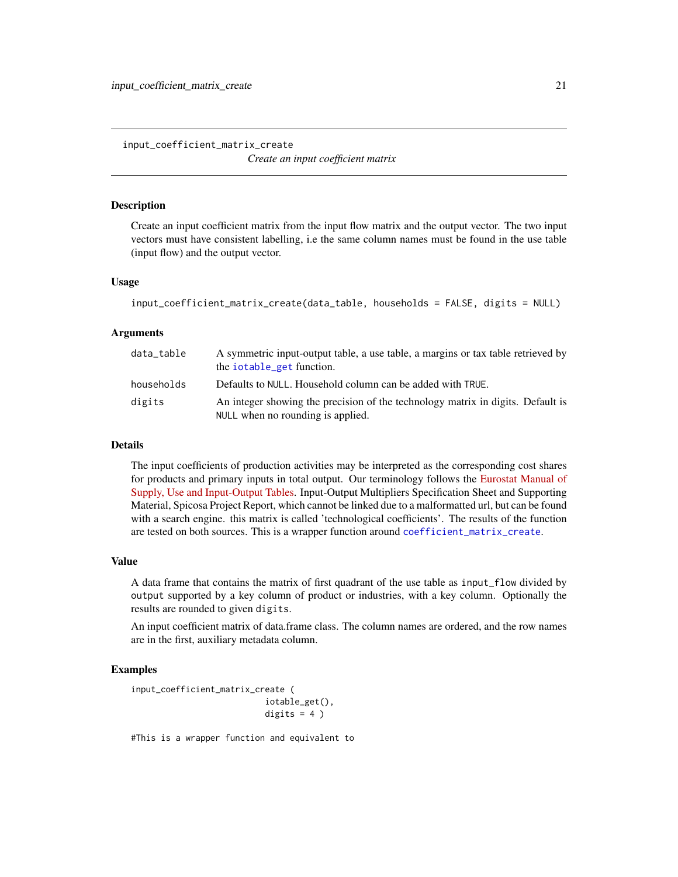<span id="page-20-1"></span><span id="page-20-0"></span>input\_coefficient\_matrix\_create *Create an input coefficient matrix*

#### Description

Create an input coefficient matrix from the input flow matrix and the output vector. The two input vectors must have consistent labelling, i.e the same column names must be found in the use table (input flow) and the output vector.

#### Usage

```
input_coefficient_matrix_create(data_table, households = FALSE, digits = NULL)
```
#### Arguments

| data_table | A symmetric input-output table, a use table, a margins or tax table retrieved by<br>the iotable_get function.        |
|------------|----------------------------------------------------------------------------------------------------------------------|
| households | Defaults to NULL. Household column can be added with TRUE.                                                           |
| digits     | An integer showing the precision of the technology matrix in digits. Default is<br>NULL when no rounding is applied. |

### Details

The input coefficients of production activities may be interpreted as the corresponding cost shares for products and primary inputs in total output. Our terminology follows the [Eurostat Manual of](https://ec.europa.eu/eurostat/documents/3859598/5902113/KS-RA-07-013-EN.PDF/b0b3d71e-3930-4442-94be-70b36cea9b39?version=1.0) [Supply, Use and Input-Output Tables.](https://ec.europa.eu/eurostat/documents/3859598/5902113/KS-RA-07-013-EN.PDF/b0b3d71e-3930-4442-94be-70b36cea9b39?version=1.0) Input-Output Multipliers Specification Sheet and Supporting Material, Spicosa Project Report, which cannot be linked due to a malformatted url, but can be found with a search engine. this matrix is called 'technological coefficients'. The results of the function are tested on both sources. This is a wrapper function around [coefficient\\_matrix\\_create](#page-4-1).

#### Value

A data frame that contains the matrix of first quadrant of the use table as input\_flow divided by output supported by a key column of product or industries, with a key column. Optionally the results are rounded to given digits.

An input coefficient matrix of data.frame class. The column names are ordered, and the row names are in the first, auxiliary metadata column.

#### Examples

```
input_coefficient_matrix_create (
                          iotable_get(),
                          digits = 4)
```
#This is a wrapper function and equivalent to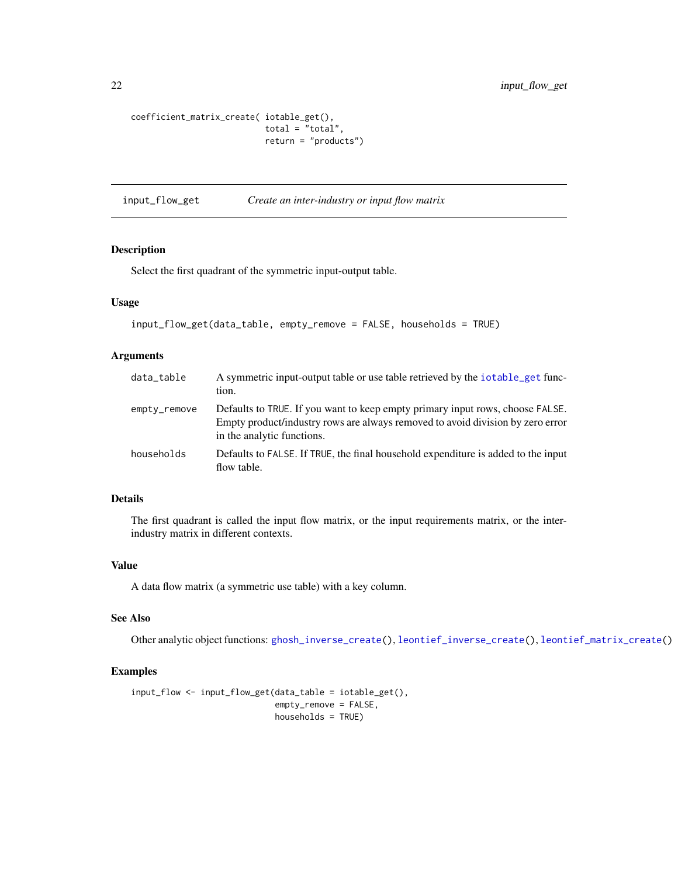```
coefficient_matrix_create( iotable_get(),
                           total = "total",return = "products")
```
<span id="page-21-1"></span>input\_flow\_get *Create an inter-industry or input flow matrix*

### Description

Select the first quadrant of the symmetric input-output table.

#### Usage

```
input_flow_get(data_table, empty_remove = FALSE, households = TRUE)
```
### Arguments

| data_table   | A symmetric input-output table or use table retrieved by the iotable_get func-<br>tion.                                                                                                       |
|--------------|-----------------------------------------------------------------------------------------------------------------------------------------------------------------------------------------------|
| empty_remove | Defaults to TRUE. If you want to keep empty primary input rows, choose FALSE.<br>Empty product/industry rows are always removed to avoid division by zero error<br>in the analytic functions. |
| households   | Defaults to FALSE. If TRUE, the final household expenditure is added to the input<br>flow table.                                                                                              |

### Details

The first quadrant is called the input flow matrix, or the input requirements matrix, or the interindustry matrix in different contexts.

### Value

A data flow matrix (a symmetric use table) with a key column.

### See Also

Other analytic object functions: [ghosh\\_inverse\\_create\(](#page-17-1)), [leontief\\_inverse\\_create\(](#page-35-1)), [leontief\\_matrix\\_create\(](#page-36-2))

#### Examples

```
input_flow <- input_flow_get(data_table = iotable_get(),
                            empty_remove = FALSE,
                            households = TRUE)
```
<span id="page-21-0"></span>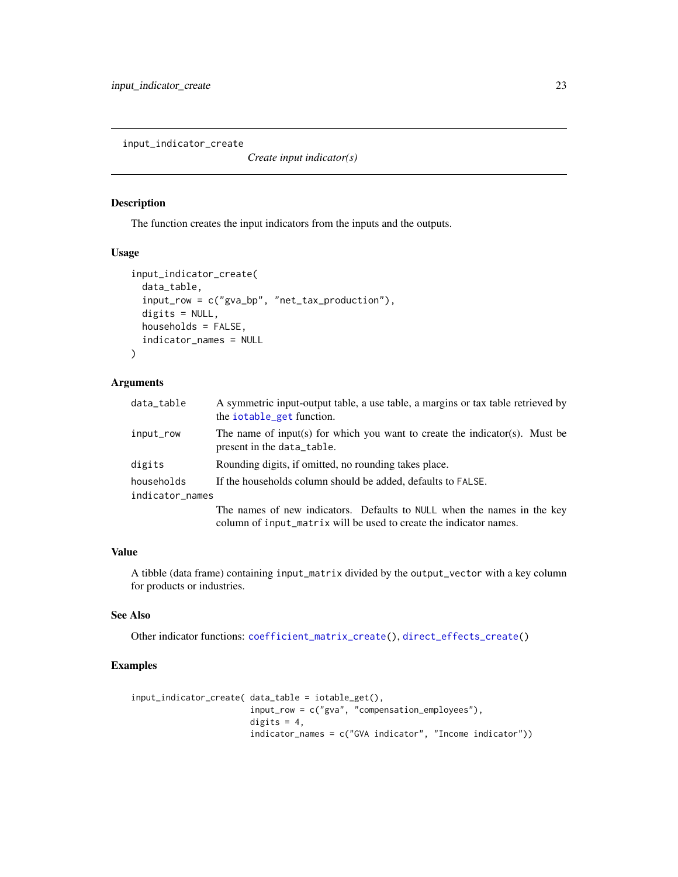<span id="page-22-1"></span><span id="page-22-0"></span>input\_indicator\_create

*Create input indicator(s)*

### Description

The function creates the input indicators from the inputs and the outputs.

### Usage

```
input_indicator_create(
 data_table,
  input_row = c("gva_bp", "net_tax_production"),
 digits = NULL,
 households = FALSE,
  indicator_names = NULL
)
```
### Arguments

| data_table      | A symmetric input-output table, a use table, a margins or tax table retrieved by<br>the iotable_get function.                                 |
|-----------------|-----------------------------------------------------------------------------------------------------------------------------------------------|
| input_row       | The name of input(s) for which you want to create the indicator(s). Must be<br>present in the data_table.                                     |
| digits          | Rounding digits, if omitted, no rounding takes place.                                                                                         |
| households      | If the households column should be added, defaults to FALSE.                                                                                  |
| indicator_names |                                                                                                                                               |
|                 | The names of new indicators. Defaults to NULL when the names in the key<br>column of input_matrix will be used to create the indicator names. |

### Value

A tibble (data frame) containing input\_matrix divided by the output\_vector with a key column for products or industries.

### See Also

Other indicator functions: [coefficient\\_matrix\\_create\(](#page-4-1)), [direct\\_effects\\_create\(](#page-10-1))

### Examples

```
input_indicator_create( data_table = iotable_get(),
                        input_row = c("gva", "compensation_employees"),
                        digits = 4,
                        indicator_names = c("GVA indicator", "Income indicator"))
```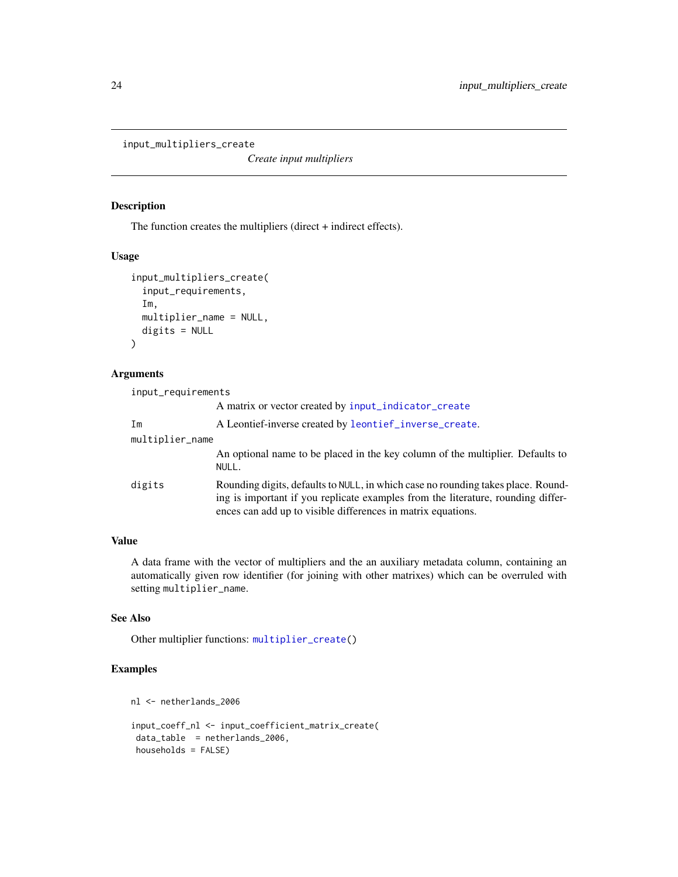<span id="page-23-1"></span><span id="page-23-0"></span>input\_multipliers\_create

*Create input multipliers*

### Description

The function creates the multipliers (direct + indirect effects).

### Usage

```
input_multipliers_create(
  input_requirements,
  Im,
  multiplier_name = NULL,
  digits = NULL
\mathcal{L}
```
#### Arguments

input\_requirements

|                 | A matrix or vector created by input_indicator_create                                                                                                                                                                                 |
|-----------------|--------------------------------------------------------------------------------------------------------------------------------------------------------------------------------------------------------------------------------------|
| Im              | A Leontief-inverse created by leontief_inverse_create.                                                                                                                                                                               |
| multiplier_name |                                                                                                                                                                                                                                      |
|                 | An optional name to be placed in the key column of the multiplier. Defaults to<br>NULL.                                                                                                                                              |
| digits          | Rounding digits, defaults to NULL, in which case no rounding takes place. Round-<br>ing is important if you replicate examples from the literature, rounding differ-<br>ences can add up to visible differences in matrix equations. |

### Value

A data frame with the vector of multipliers and the an auxiliary metadata column, containing an automatically given row identifier (for joining with other matrixes) which can be overruled with setting multiplier\_name.

### See Also

Other multiplier functions: [multiplier\\_create\(](#page-38-2))

### Examples

nl <- netherlands\_2006

```
input_coeff_nl <- input_coefficient_matrix_create(
data_table = netherlands_2006,
households = FALSE)
```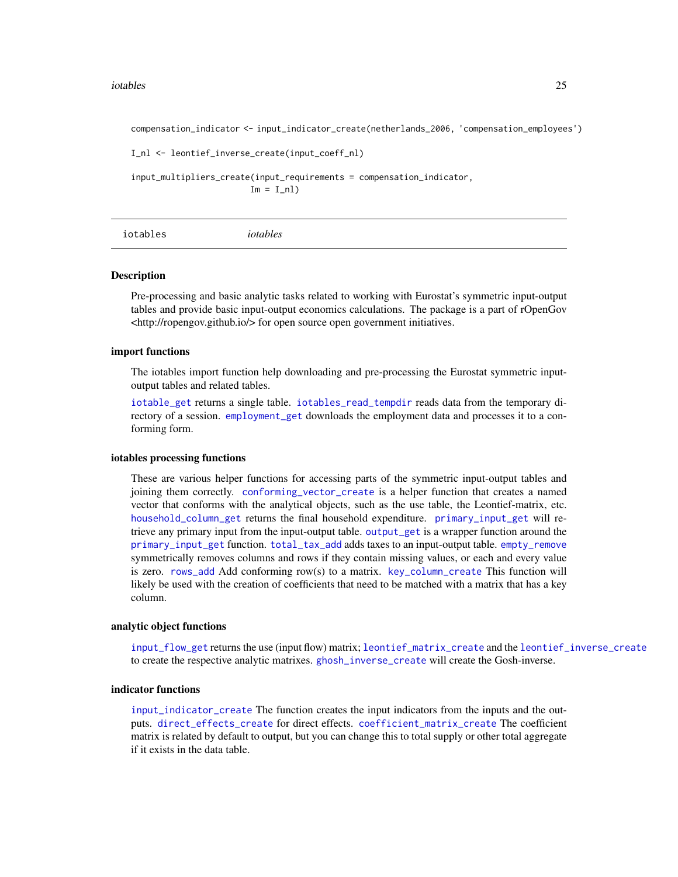#### <span id="page-24-0"></span>iotables 25

compensation\_indicator <- input\_indicator\_create(netherlands\_2006, 'compensation\_employees')

```
I_nl <- leontief_inverse_create(input_coeff_nl)
```

```
input_multipliers_create(input_requirements = compensation_indicator,
                       Im = I_n
```

```
iotables iotables
```
#### **Description**

Pre-processing and basic analytic tasks related to working with Eurostat's symmetric input-output tables and provide basic input-output economics calculations. The package is a part of rOpenGov <http://ropengov.github.io/> for open source open government initiatives.

#### import functions

The iotables import function help downloading and pre-processing the Eurostat symmetric inputoutput tables and related tables.

[iotable\\_get](#page-30-1) returns a single table. [iotables\\_read\\_tempdir](#page-28-1) reads data from the temporary directory of a session. [employment\\_get](#page-11-1) downloads the employment data and processes it to a conforming form.

#### iotables processing functions

These are various helper functions for accessing parts of the symmetric input-output tables and joining them correctly. [conforming\\_vector\\_create](#page-5-1) is a helper function that creates a named vector that conforms with the analytical objects, such as the use table, the Leontief-matrix, etc. [household\\_column\\_get](#page-18-1) returns the final household expenditure. [primary\\_input\\_get](#page-44-1) will retrieve any primary input from the input-output table. [output\\_get](#page-42-1) is a wrapper function around the [primary\\_input\\_get](#page-44-1) function. [total\\_tax\\_add](#page-47-1) adds taxes to an input-output table. [empty\\_remove](#page-13-1) symmetrically removes columns and rows if they contain missing values, or each and every value is zero. [rows\\_add](#page-44-2) Add conforming row(s) to a matrix. [key\\_column\\_create](#page-34-1) This function will likely be used with the creation of coefficients that need to be matched with a matrix that has a key column.

### analytic object functions

[input\\_flow\\_get](#page-21-1) returns the use (input flow) matrix; [leontief\\_matrix\\_create](#page-36-2) and the [leontief\\_inverse\\_create](#page-35-1) to create the respective analytic matrixes. [ghosh\\_inverse\\_create](#page-17-1) will create the Gosh-inverse.

### indicator functions

[input\\_indicator\\_create](#page-22-1) The function creates the input indicators from the inputs and the outputs. [direct\\_effects\\_create](#page-10-1) for direct effects. [coefficient\\_matrix\\_create](#page-4-1) The coefficient matrix is related by default to output, but you can change this to total supply or other total aggregate if it exists in the data table.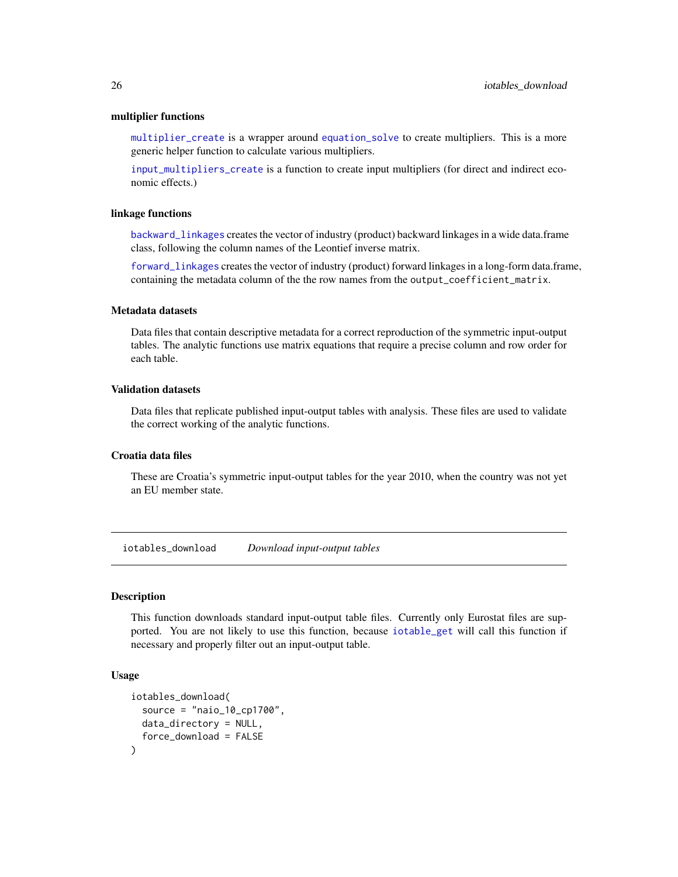#### <span id="page-25-0"></span>multiplier functions

[multiplier\\_create](#page-38-2) is a wrapper around [equation\\_solve](#page-13-2) to create multipliers. This is a more generic helper function to calculate various multipliers.

[input\\_multipliers\\_create](#page-23-1) is a function to create input multipliers (for direct and indirect economic effects.)

### linkage functions

[backward\\_linkages](#page-3-1) creates the vector of industry (product) backward linkages in a wide data.frame class, following the column names of the Leontief inverse matrix.

[forward\\_linkages](#page-14-1) creates the vector of industry (product) forward linkages in a long-form data.frame, containing the metadata column of the the row names from the output\_coefficient\_matrix.

### Metadata datasets

Data files that contain descriptive metadata for a correct reproduction of the symmetric input-output tables. The analytic functions use matrix equations that require a precise column and row order for each table.

### Validation datasets

Data files that replicate published input-output tables with analysis. These files are used to validate the correct working of the analytic functions.

### Croatia data files

These are Croatia's symmetric input-output tables for the year 2010, when the country was not yet an EU member state.

<span id="page-25-1"></span>iotables\_download *Download input-output tables*

### Description

This function downloads standard input-output table files. Currently only Eurostat files are supported. You are not likely to use this function, because [iotable\\_get](#page-30-1) will call this function if necessary and properly filter out an input-output table.

### Usage

```
iotables_download(
  source = "naio_10 cop1700",
  data_directory = NULL,
  force_download = FALSE
)
```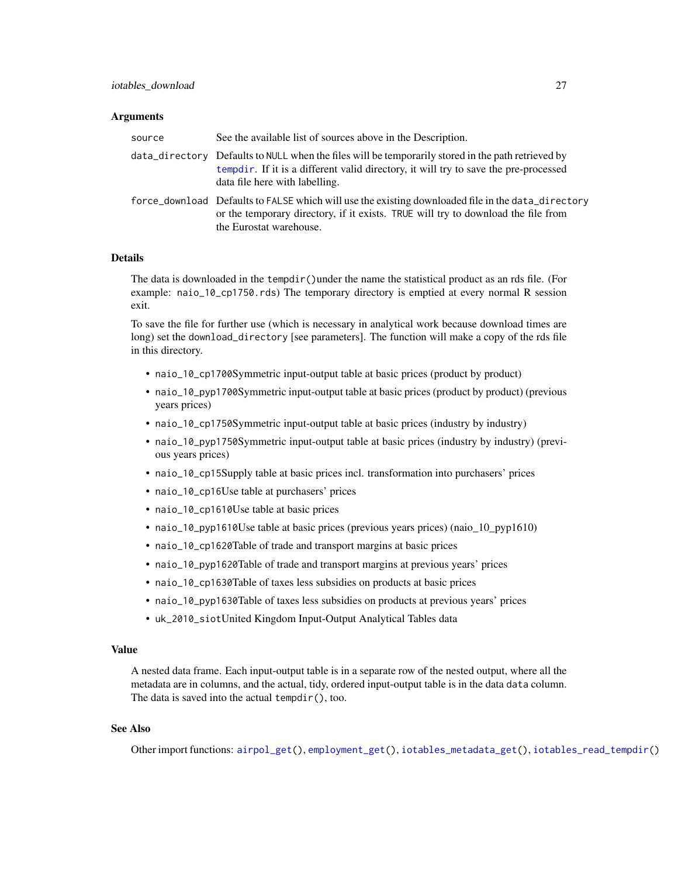#### <span id="page-26-0"></span>Arguments

| source | See the available list of sources above in the Description.                                                                                                                                                                  |
|--------|------------------------------------------------------------------------------------------------------------------------------------------------------------------------------------------------------------------------------|
|        | data_directory Defaults to NULL when the files will be temporarily stored in the path retrieved by<br>tempdir. If it is a different valid directory, it will try to save the pre-processed<br>data file here with labelling. |
|        | force_download Defaults to FALSE which will use the existing downloaded file in the data_directory<br>or the temporary directory, if it exists. TRUE will try to download the file from<br>the Eurostat warehouse.           |

### Details

The data is downloaded in the tempdir()under the name the statistical product as an rds file. (For example: naio\_10\_cp1750.rds) The temporary directory is emptied at every normal R session exit.

To save the file for further use (which is necessary in analytical work because download times are long) set the download\_directory [see parameters]. The function will make a copy of the rds file in this directory.

- naio\_10\_cp1700Symmetric input-output table at basic prices (product by product)
- naio\_10\_pyp1700Symmetric input-output table at basic prices (product by product) (previous years prices)
- naio\_10\_cp1750Symmetric input-output table at basic prices (industry by industry)
- naio\_10\_pyp1750Symmetric input-output table at basic prices (industry by industry) (previous years prices)
- naio\_10\_cp15Supply table at basic prices incl. transformation into purchasers' prices
- naio\_10\_cp16Use table at purchasers' prices
- naio\_10\_cp1610Use table at basic prices
- naio\_10\_pyp1610Use table at basic prices (previous years prices) (naio\_10\_pyp1610)
- naio\_10\_cp1620Table of trade and transport margins at basic prices
- naio\_10\_pyp1620Table of trade and transport margins at previous years' prices
- naio\_10\_cp1630Table of taxes less subsidies on products at basic prices
- naio\_10\_pyp1630Table of taxes less subsidies on products at previous years' prices
- uk\_2010\_siotUnited Kingdom Input-Output Analytical Tables data

#### Value

A nested data frame. Each input-output table is in a separate row of the nested output, where all the metadata are in columns, and the actual, tidy, ordered input-output table is in the data data column. The data is saved into the actual tempdir(), too.

### See Also

Other import functions: [airpol\\_get\(](#page-2-1)), [employment\\_get\(](#page-11-1)), [iotables\\_metadata\\_get\(](#page-27-1)), [iotables\\_read\\_tempdir\(](#page-28-1))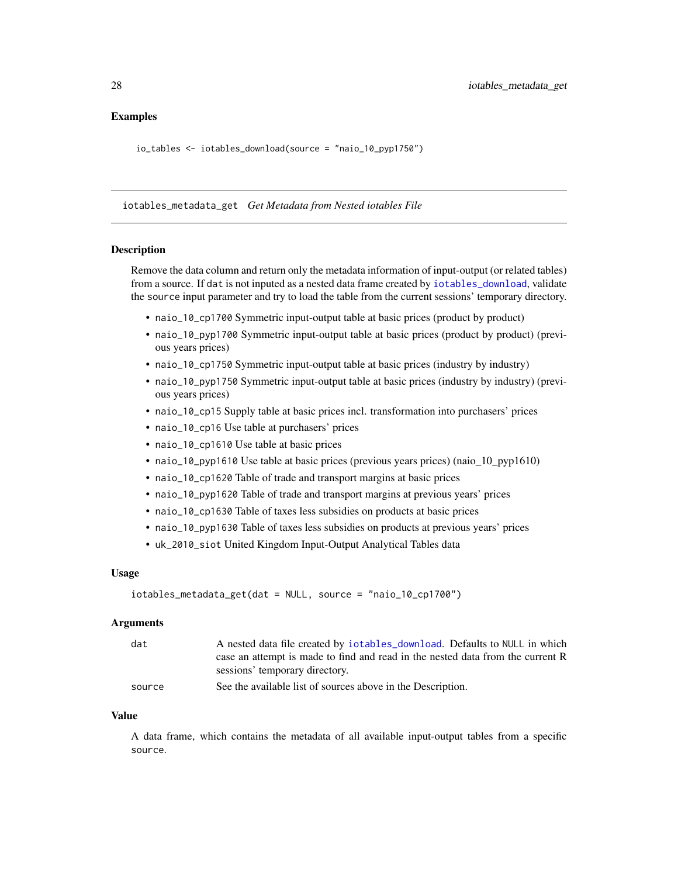### <span id="page-27-0"></span>Examples

io\_tables <- iotables\_download(source = "naio\_10\_pyp1750")

<span id="page-27-1"></span>iotables\_metadata\_get *Get Metadata from Nested iotables File*

#### Description

Remove the data column and return only the metadata information of input-output (or related tables) from a source. If dat is not inputed as a nested data frame created by [iotables\\_download](#page-25-1), validate the source input parameter and try to load the table from the current sessions' temporary directory.

- naio\_10\_cp1700 Symmetric input-output table at basic prices (product by product)
- naio\_10\_pyp1700 Symmetric input-output table at basic prices (product by product) (previous years prices)
- naio\_10\_cp1750 Symmetric input-output table at basic prices (industry by industry)
- naio\_10\_pyp1750 Symmetric input-output table at basic prices (industry by industry) (previous years prices)
- naio\_10\_cp15 Supply table at basic prices incl. transformation into purchasers' prices
- naio\_10\_cp16 Use table at purchasers' prices
- naio\_10\_cp1610 Use table at basic prices
- naio\_10\_pyp1610 Use table at basic prices (previous years prices) (naio\_10\_pyp1610)
- naio\_10\_cp1620 Table of trade and transport margins at basic prices
- naio\_10\_pyp1620 Table of trade and transport margins at previous years' prices
- naio\_10\_cp1630 Table of taxes less subsidies on products at basic prices
- naio\_10\_pyp1630 Table of taxes less subsidies on products at previous years' prices
- uk\_2010\_siot United Kingdom Input-Output Analytical Tables data

#### Usage

```
iotables_metadata_get(dat = NULL, source = "naio_10_cp1700")
```
#### Arguments

| dat    | A nested data file created by iotables_download. Defaults to NULL in which     |
|--------|--------------------------------------------------------------------------------|
|        | case an attempt is made to find and read in the nested data from the current R |
|        | sessions' temporary directory.                                                 |
| source | See the available list of sources above in the Description.                    |

#### Value

A data frame, which contains the metadata of all available input-output tables from a specific source.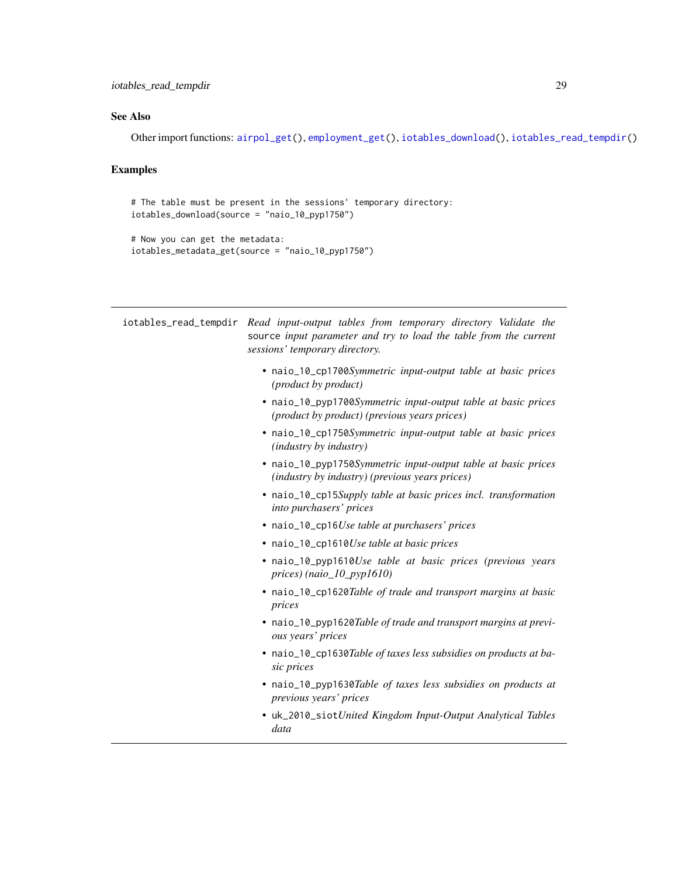### <span id="page-28-0"></span>See Also

Other import functions: [airpol\\_get\(](#page-2-1)), [employment\\_get\(](#page-11-1)), [iotables\\_download\(](#page-25-1)), [iotables\\_read\\_tempdir\(](#page-28-1))

### Examples

```
# The table must be present in the sessions' temporary directory:
iotables_download(source = "naio_10_pyp1750")
```

```
# Now you can get the metadata:
iotables_metadata_get(source = "naio_10_pyp1750")
```
<span id="page-28-1"></span>

|  | iotables_read_tempdir Read input-output tables from temporary directory Validate the<br>source input parameter and try to load the table from the current<br>sessions' temporary directory. |
|--|---------------------------------------------------------------------------------------------------------------------------------------------------------------------------------------------|
|  | • naio_10_cp1700Symmetric input-output table at basic prices<br>( <i>product by product</i> )                                                                                               |
|  | • naio_10_pyp1700Symmetric input-output table at basic prices<br>(product by product) (previous years prices)                                                                               |
|  | · naio_10_cp1750Symmetric input-output table at basic prices<br>(industry by industry)                                                                                                      |
|  | • naio_10_pyp1750Symmetric input-output table at basic prices<br>( <i>industry by industry</i> ) ( <i>previous years prices</i> )                                                           |
|  | • naio_10_cp15Supply table at basic prices incl. transformation<br>into purchasers' prices                                                                                                  |
|  | • naio_10_cp16Use table at purchasers' prices                                                                                                                                               |
|  | • naio_10_cp1610Use table at basic prices                                                                                                                                                   |
|  | • naio_10_pyp1610Use table at basic prices (previous years<br>prices) (naio_ $10$ _pyp1610)                                                                                                 |
|  | • naio_10_cp1620Table of trade and transport margins at basic<br>prices                                                                                                                     |
|  | • naio_10_pyp1620Table of trade and transport margins at previ-<br>ous years' prices                                                                                                        |
|  | • naio_10_cp1630Table of taxes less subsidies on products at ba-<br>sic prices                                                                                                              |
|  | • naio_10_pyp1630Table of taxes less subsidies on products at<br>previous years' prices                                                                                                     |
|  | • uk_2010_siotUnited Kingdom Input-Output Analytical Tables<br>data                                                                                                                         |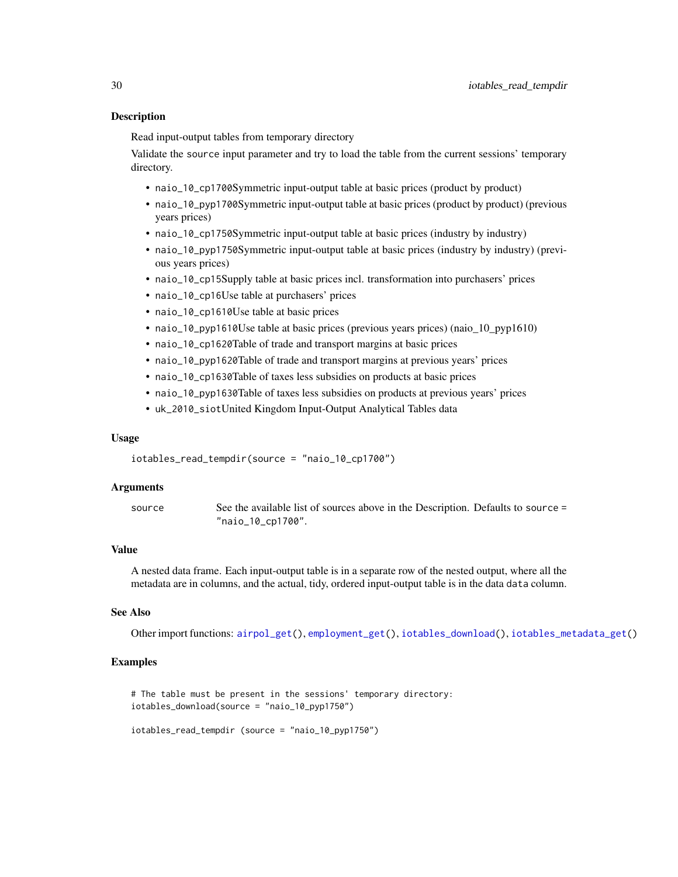### <span id="page-29-0"></span>Description

Read input-output tables from temporary directory

Validate the source input parameter and try to load the table from the current sessions' temporary directory.

- naio\_10\_cp1700Symmetric input-output table at basic prices (product by product)
- naio\_10\_pyp1700Symmetric input-output table at basic prices (product by product) (previous years prices)
- naio\_10\_cp1750Symmetric input-output table at basic prices (industry by industry)
- naio\_10\_pyp1750Symmetric input-output table at basic prices (industry by industry) (previous years prices)
- naio\_10\_cp15Supply table at basic prices incl. transformation into purchasers' prices
- naio\_10\_cp16Use table at purchasers' prices
- naio\_10\_cp1610Use table at basic prices
- naio\_10\_pyp1610Use table at basic prices (previous years prices) (naio\_10\_pyp1610)
- naio\_10\_cp1620Table of trade and transport margins at basic prices
- naio\_10\_pyp1620Table of trade and transport margins at previous years' prices
- naio\_10\_cp1630Table of taxes less subsidies on products at basic prices
- naio\_10\_pyp1630Table of taxes less subsidies on products at previous years' prices
- uk\_2010\_siotUnited Kingdom Input-Output Analytical Tables data

#### Usage

```
iotables_read_tempdir(source = "naio_10_cp1700")
```
#### Arguments

source See the available list of sources above in the Description. Defaults to source = "naio\_10\_cp1700".

#### Value

A nested data frame. Each input-output table is in a separate row of the nested output, where all the metadata are in columns, and the actual, tidy, ordered input-output table is in the data data column.

### See Also

Other import functions: [airpol\\_get\(](#page-2-1)), [employment\\_get\(](#page-11-1)), [iotables\\_download\(](#page-25-1)), [iotables\\_metadata\\_get\(](#page-27-1))

### Examples

# The table must be present in the sessions' temporary directory: iotables\_download(source = "naio\_10\_pyp1750")

```
iotables_read_tempdir (source = "naio_10_pyp1750")
```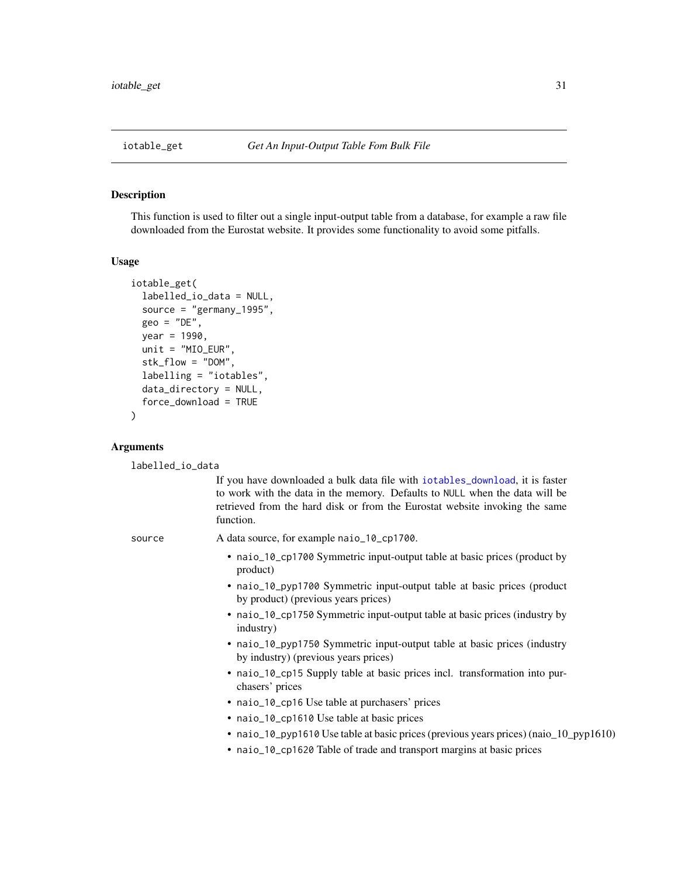### <span id="page-30-1"></span><span id="page-30-0"></span>Description

This function is used to filter out a single input-output table from a database, for example a raw file downloaded from the Eurostat website. It provides some functionality to avoid some pitfalls.

#### Usage

```
iotable_get(
  labelled_io_data = NULL,
 source = "germany_1995",
  geo = "DE",year = 1990,unit = "MIO_EUR",stk_flow = "DOM",
  labelling = "iotables",
  data_directory = NULL,
  force_download = TRUE
)
```
### Arguments

labelled\_io\_data

If you have downloaded a bulk data file with [iotables\\_download](#page-25-1), it is faster to work with the data in the memory. Defaults to NULL when the data will be retrieved from the hard disk or from the Eurostat website invoking the same function.

source A data source, for example naio\_10\_cp1700.

- naio\_10\_cp1700 Symmetric input-output table at basic prices (product by product)
- naio\_10\_pyp1700 Symmetric input-output table at basic prices (product by product) (previous years prices)
- naio\_10\_cp1750 Symmetric input-output table at basic prices (industry by industry)
- naio\_10\_pyp1750 Symmetric input-output table at basic prices (industry by industry) (previous years prices)
- naio\_10\_cp15 Supply table at basic prices incl. transformation into purchasers' prices
- naio\_10\_cp16 Use table at purchasers' prices
- naio\_10\_cp1610 Use table at basic prices
- naio\_10\_pyp1610 Use table at basic prices (previous years prices) (naio\_10\_pyp1610)
- naio\_10\_cp1620 Table of trade and transport margins at basic prices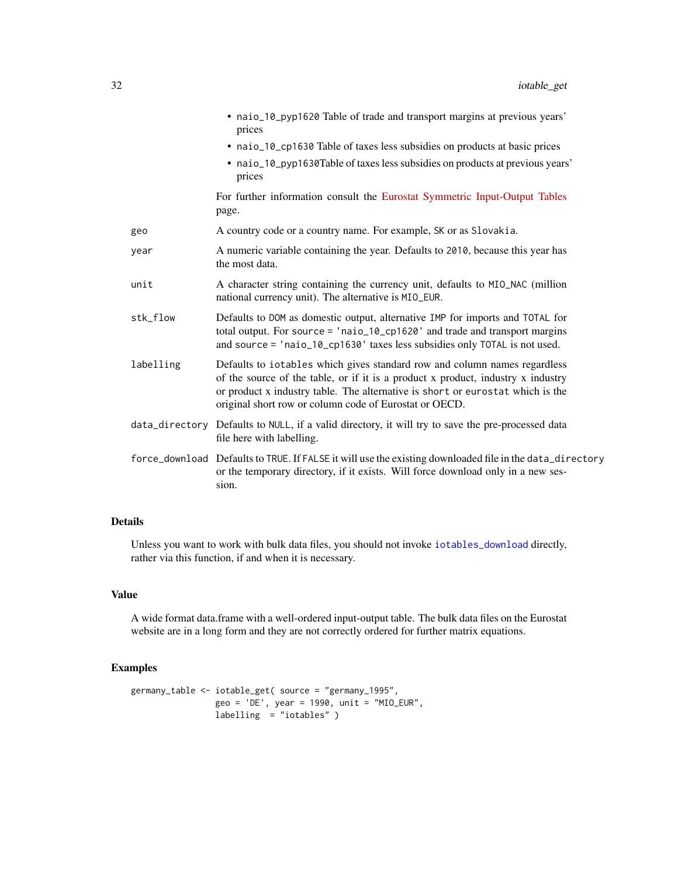|           | • naio_10_pyp1620 Table of trade and transport margins at previous years'<br>prices                                                                                                                                                                                                                       |
|-----------|-----------------------------------------------------------------------------------------------------------------------------------------------------------------------------------------------------------------------------------------------------------------------------------------------------------|
|           | • naio_10_cp1630 Table of taxes less subsidies on products at basic prices                                                                                                                                                                                                                                |
|           | • naio_10_pyp1630Table of taxes less subsidies on products at previous years'<br>prices                                                                                                                                                                                                                   |
|           | For further information consult the Eurostat Symmetric Input-Output Tables<br>page.                                                                                                                                                                                                                       |
| geo       | A country code or a country name. For example, SK or as Slovakia.                                                                                                                                                                                                                                         |
| year      | A numeric variable containing the year. Defaults to 2010, because this year has<br>the most data.                                                                                                                                                                                                         |
| unit      | A character string containing the currency unit, defaults to MIO_NAC (million<br>national currency unit). The alternative is MIO_EUR.                                                                                                                                                                     |
| stk_flow  | Defaults to DOM as domestic output, alternative IMP for imports and TOTAL for<br>total output. For source = 'naio_10_cp1620' and trade and transport margins<br>and source = 'naio_10_cp1630' taxes less subsidies only TOTAL is not used.                                                                |
| labelling | Defaults to iotables which gives standard row and column names regardless<br>of the source of the table, or if it is a product x product, industry x industry<br>or product x industry table. The alternative is short or eurostat which is the<br>original short row or column code of Eurostat or OECD. |
|           | data_directory Defaults to NULL, if a valid directory, it will try to save the pre-processed data<br>file here with labelling.                                                                                                                                                                            |
|           | force_download Defaults to TRUE. If FALSE it will use the existing downloaded file in the data_directory<br>or the temporary directory, if it exists. Will force download only in a new ses-<br>sion.                                                                                                     |

Unless you want to work with bulk data files, you should not invoke [iotables\\_download](#page-25-1) directly, rather via this function, if and when it is necessary.

### Value

A wide format data.frame with a well-ordered input-output table. The bulk data files on the Eurostat website are in a long form and they are not correctly ordered for further matrix equations.

### Examples

```
germany_table <- iotable_get( source = "germany_1995",
                geo = 'DE', year = 1990, unit = "MIO_EUR",
                labelling = "iotables" )
```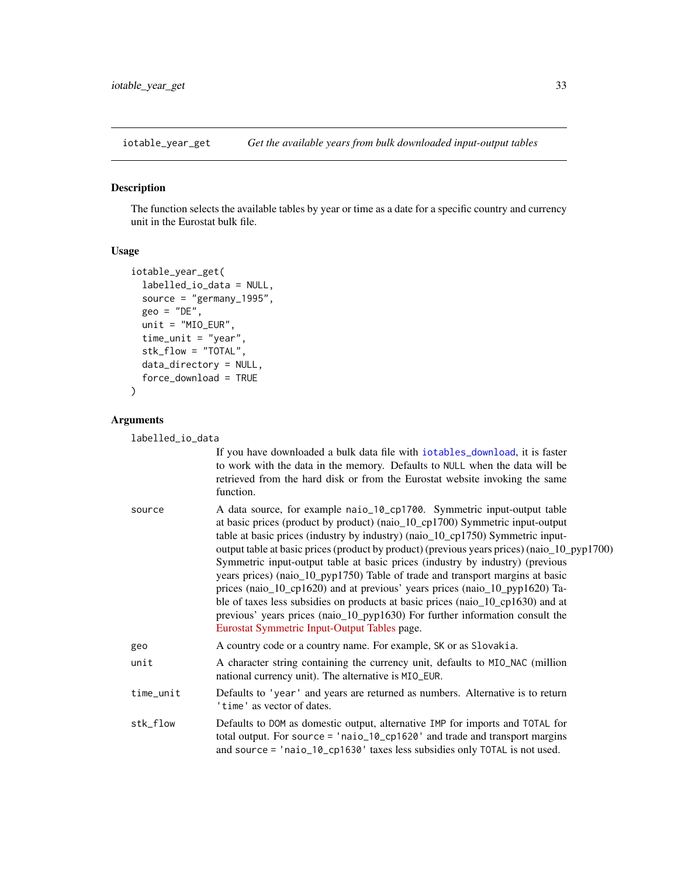<span id="page-32-1"></span><span id="page-32-0"></span>

### Description

The function selects the available tables by year or time as a date for a specific country and currency unit in the Eurostat bulk file.

#### Usage

```
iotable_year_get(
  labelled_io_data = NULL,
  source = "germany_1995",geo = "DE",unit = "MIO_EUR",time_unit = "year",
  stk_flow = "TOTAL",
  data_directory = NULL,
  force_download = TRUE
)
```
### Arguments

labelled\_io\_data

If you have downloaded a bulk data file with [iotables\\_download](#page-25-1), it is faster to work with the data in the memory. Defaults to NULL when the data will be retrieved from the hard disk or from the Eurostat website invoking the same function.

| source | A data source, for example naio_10_cp1700. Symmetric input-output table                     |
|--------|---------------------------------------------------------------------------------------------|
|        | at basic prices (product by product) (naio_10_cp1700) Symmetric input-output                |
|        | table at basic prices (industry by industry) (naio_10_cp1750) Symmetric input-              |
|        | output table at basic prices (product by product) (previous years prices) (naio_10_pyp1700) |
|        | Symmetric input-output table at basic prices (industry by industry) (previous               |
|        | years prices) (naio_10_pyp1750) Table of trade and transport margins at basic               |
|        | prices (naio_10_cp1620) and at previous' years prices (naio_10_pyp1620) Ta-                 |
|        | ble of taxes less subsidies on products at basic prices (naio_10_cp1630) and at             |
|        | previous' years prices (naio_10_pyp1630) For further information consult the                |
|        | Eurostat Symmetric Input-Output Tables page.                                                |
| geo    | A country code or a country name. For example, SK or as Slovakia.                           |
|        |                                                                                             |

unit A character string containing the currency unit, defaults to MIO\_NAC (million national currency unit). The alternative is MIO\_EUR.

time\_unit Defaults to 'year' and years are returned as numbers. Alternative is to return 'time' as vector of dates.

stk\_flow Defaults to DOM as domestic output, alternative IMP for imports and TOTAL for total output. For source = 'naio\_10\_cp1620' and trade and transport margins and source = 'naio\_10\_cp1630' taxes less subsidies only TOTAL is not used.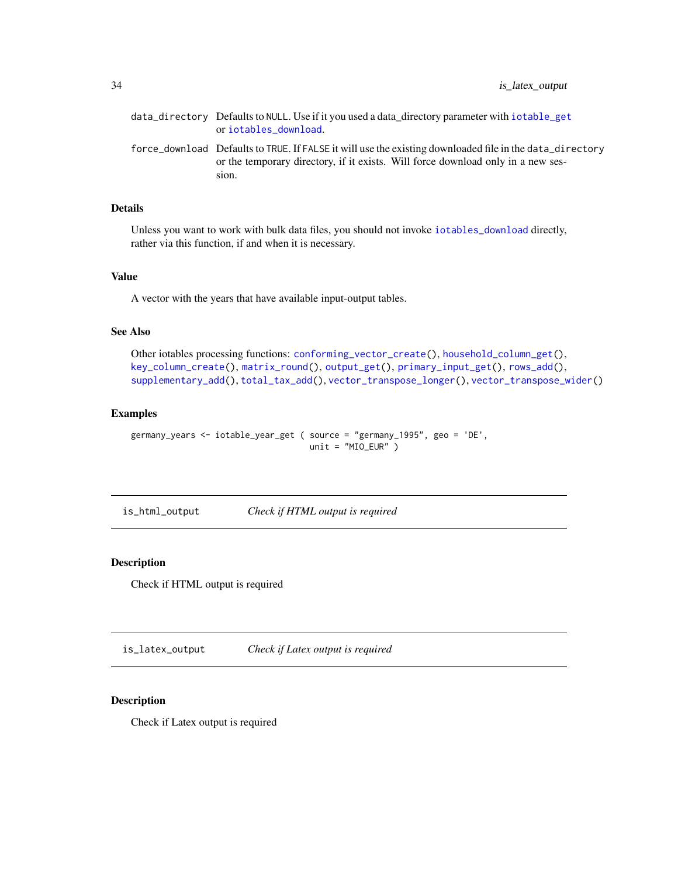<span id="page-33-0"></span>

| data_directory Defaults to NULL. Use if it you used a data_directory parameter with iotable_get<br>or iotables download.                                                                              |
|-------------------------------------------------------------------------------------------------------------------------------------------------------------------------------------------------------|
| force_download Defaults to TRUE. If FALSE it will use the existing downloaded file in the data_directory<br>or the temporary directory, if it exists. Will force download only in a new ses-<br>sion. |

Unless you want to work with bulk data files, you should not invoke [iotables\\_download](#page-25-1) directly, rather via this function, if and when it is necessary.

#### Value

A vector with the years that have available input-output tables.

### See Also

```
Other iotables processing functions: conforming_vector_create(), household_column_get(),
key_column_create(), matrix_round(), output_get(), primary_input_get(), rows_add(),
supplementary_add(), total_tax_add(), vector_transpose_longer(), vector_transpose_wider()
```
### Examples

```
germany_years <- iotable_year_get ( source = "germany_1995", geo = 'DE',
                                   unit = "MIO_EUR" )
```
is\_html\_output *Check if HTML output is required*

### Description

Check if HTML output is required

is\_latex\_output *Check if Latex output is required*

### Description

Check if Latex output is required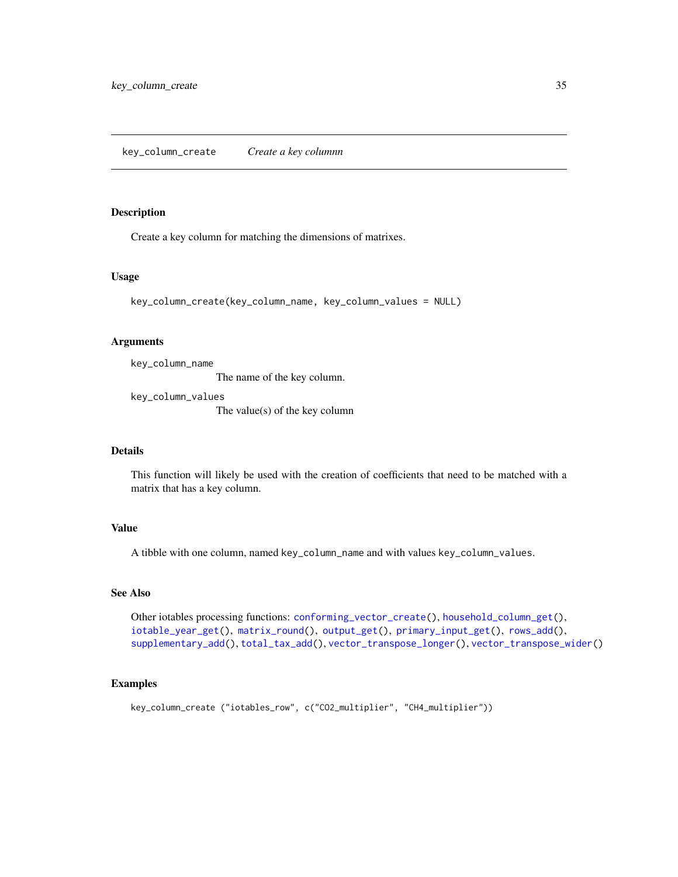<span id="page-34-1"></span><span id="page-34-0"></span>key\_column\_create *Create a key columnn*

### Description

Create a key column for matching the dimensions of matrixes.

#### Usage

```
key_column_create(key_column_name, key_column_values = NULL)
```
### Arguments

key\_column\_name

The name of the key column.

key\_column\_values The value(s) of the key column

### Details

This function will likely be used with the creation of coefficients that need to be matched with a matrix that has a key column.

#### Value

A tibble with one column, named key\_column\_name and with values key\_column\_values.

### See Also

Other iotables processing functions: [conforming\\_vector\\_create\(](#page-5-1)), [household\\_column\\_get\(](#page-18-1)), [iotable\\_year\\_get\(](#page-32-1)), [matrix\\_round\(](#page-36-1)), [output\\_get\(](#page-42-1)), [primary\\_input\\_get\(](#page-44-1)), [rows\\_add\(](#page-44-2)), [supplementary\\_add\(](#page-45-1)), [total\\_tax\\_add\(](#page-47-1)), [vector\\_transpose\\_longer\(](#page-50-1)), [vector\\_transpose\\_wider\(](#page-51-1))

### Examples

key\_column\_create ("iotables\_row", c("CO2\_multiplier", "CH4\_multiplier"))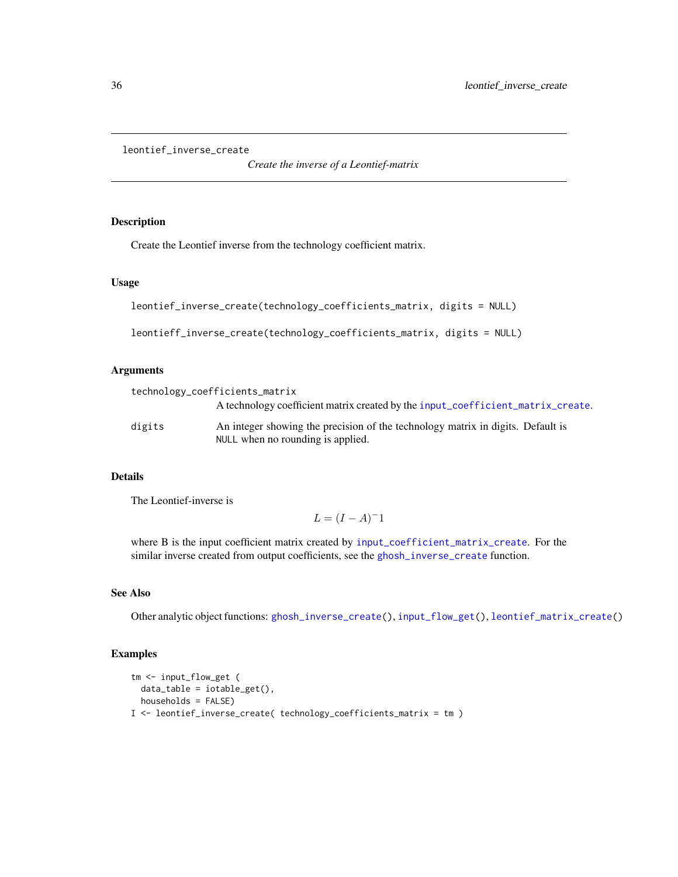```
leontief_inverse_create
```
*Create the inverse of a Leontief-matrix*

### Description

Create the Leontief inverse from the technology coefficient matrix.

#### Usage

```
leontief_inverse_create(technology_coefficients_matrix, digits = NULL)
leontieff_inverse_create(technology_coefficients_matrix, digits = NULL)
```
### Arguments

|        | technology_coefficients_matrix                                                                                       |
|--------|----------------------------------------------------------------------------------------------------------------------|
|        | A technology coefficient matrix created by the input_coefficient_matrix_create.                                      |
| digits | An integer showing the precision of the technology matrix in digits. Default is<br>NULL when no rounding is applied. |

### Details

The Leontief-inverse is

$$
L = (I - A)^{-1}
$$

where B is the input coefficient matrix created by [input\\_coefficient\\_matrix\\_create](#page-20-1). For the similar inverse created from output coefficients, see the [ghosh\\_inverse\\_create](#page-17-1) function.

### See Also

Other analytic object functions: [ghosh\\_inverse\\_create\(](#page-17-1)), [input\\_flow\\_get\(](#page-21-1)), [leontief\\_matrix\\_create\(](#page-36-2))

### Examples

```
tm <- input_flow_get (
  data_table = iotable_get(),
  households = FALSE)
I <- leontief_inverse_create( technology_coefficients_matrix = tm )
```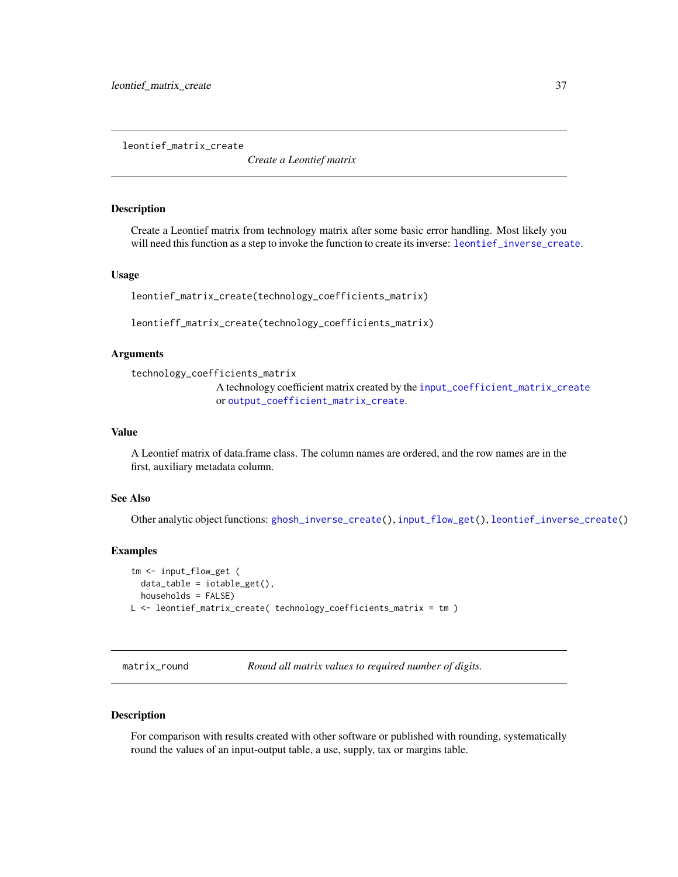<span id="page-36-2"></span><span id="page-36-0"></span>leontief\_matrix\_create

*Create a Leontief matrix*

#### Description

Create a Leontief matrix from technology matrix after some basic error handling. Most likely you will need this function as a step to invoke the function to create its inverse: [leontief\\_inverse\\_create](#page-35-1).

#### Usage

```
leontief_matrix_create(technology_coefficients_matrix)
```
leontieff\_matrix\_create(technology\_coefficients\_matrix)

### Arguments

```
technology_coefficients_matrix
```
A technology coefficient matrix created by the [input\\_coefficient\\_matrix\\_create](#page-20-1) or [output\\_coefficient\\_matrix\\_create](#page-41-1).

### Value

A Leontief matrix of data.frame class. The column names are ordered, and the row names are in the first, auxiliary metadata column.

#### See Also

Other analytic object functions: [ghosh\\_inverse\\_create\(](#page-17-1)), [input\\_flow\\_get\(](#page-21-1)), [leontief\\_inverse\\_create\(](#page-35-1))

#### Examples

```
tm <- input_flow_get (
  data_table = iotable_get(),
  households = FALSE)
L <- leontief_matrix_create( technology_coefficients_matrix = tm )
```
<span id="page-36-1"></span>matrix\_round *Round all matrix values to required number of digits.*

### Description

For comparison with results created with other software or published with rounding, systematically round the values of an input-output table, a use, supply, tax or margins table.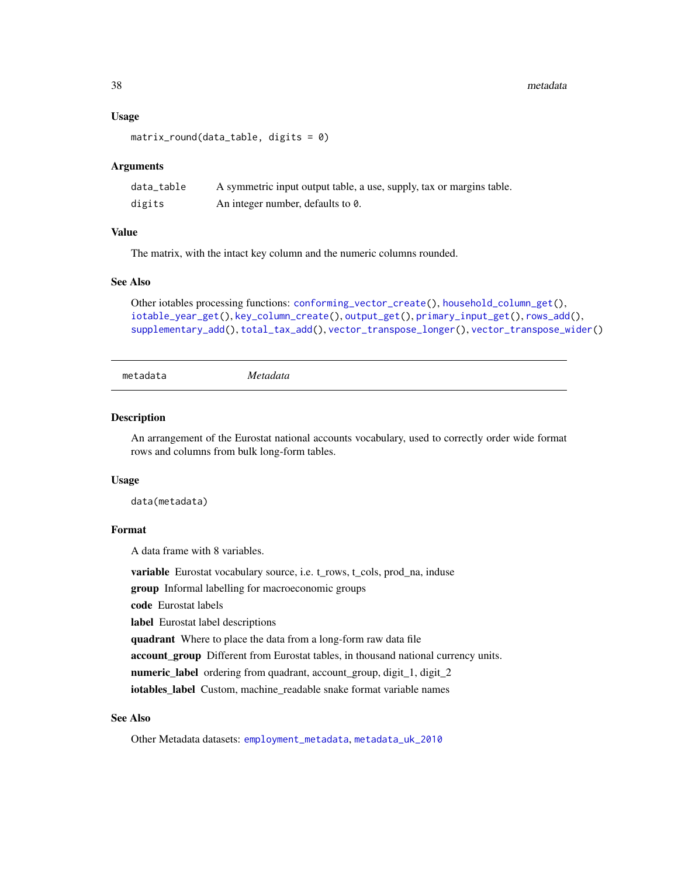#### 38 metadata

#### Usage

```
matrix\_round(data_table, digits = 0)
```
#### **Arguments**

| data_table | A symmetric input output table, a use, supply, tax or margins table. |
|------------|----------------------------------------------------------------------|
| digits     | An integer number, defaults to 0.                                    |

### Value

The matrix, with the intact key column and the numeric columns rounded.

#### See Also

```
Other iotables processing functions: conforming_vector_create(), household_column_get(),
iotable_year_get(), key_column_create(), output_get(), primary_input_get(), rows_add(),
supplementary_add(), total_tax_add(), vector_transpose_longer(), vector_transpose_wider()
```
<span id="page-37-1"></span>metadata *Metadata*

#### **Description**

An arrangement of the Eurostat national accounts vocabulary, used to correctly order wide format rows and columns from bulk long-form tables.

#### Usage

data(metadata)

### Format

A data frame with 8 variables.

variable Eurostat vocabulary source, i.e. t\_rows, t\_cols, prod\_na, induse

group Informal labelling for macroeconomic groups

code Eurostat labels

label Eurostat label descriptions

quadrant Where to place the data from a long-form raw data file

account\_group Different from Eurostat tables, in thousand national currency units.

numeric\_label ordering from quadrant, account\_group, digit\_1, digit\_2

iotables\_label Custom, machine\_readable snake format variable names

### See Also

Other Metadata datasets: [employment\\_metadata](#page-12-1), [metadata\\_uk\\_2010](#page-38-1)

<span id="page-37-0"></span>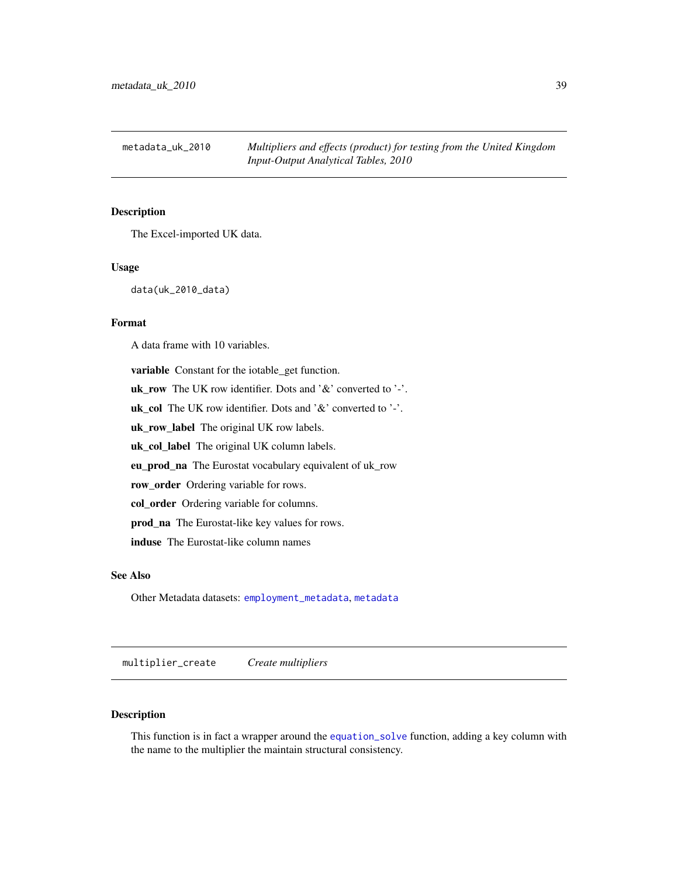<span id="page-38-1"></span><span id="page-38-0"></span>

### Description

The Excel-imported UK data.

### Usage

data(uk\_2010\_data)

### Format

A data frame with 10 variables.

variable Constant for the iotable\_get function. uk\_row The UK row identifier. Dots and '&' converted to '-'. uk\_col The UK row identifier. Dots and ' $\&$ ' converted to '-'. uk\_row\_label The original UK row labels. uk\_col\_label The original UK column labels. eu\_prod\_na The Eurostat vocabulary equivalent of uk\_row row\_order Ordering variable for rows. col\_order Ordering variable for columns. prod\_na The Eurostat-like key values for rows. induse The Eurostat-like column names

#### See Also

Other Metadata datasets: [employment\\_metadata](#page-12-1), [metadata](#page-37-1)

<span id="page-38-2"></span>multiplier\_create *Create multipliers*

### Description

This function is in fact a wrapper around the [equation\\_solve](#page-13-2) function, adding a key column with the name to the multiplier the maintain structural consistency.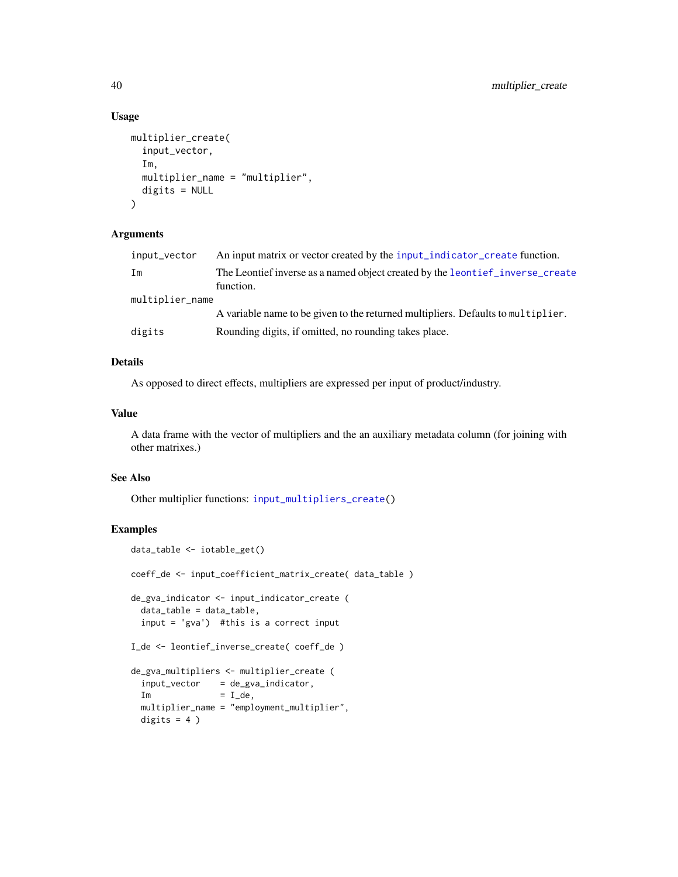### Usage

```
multiplier_create(
  input_vector,
  Im,
  multiplier_name = "multiplier",
  digits = NULL
\lambda
```
#### Arguments

| An input matrix or vector created by the input_indicator_create function.        |
|----------------------------------------------------------------------------------|
| The Leontief inverse as a named object created by the leontief _inverse_create   |
| function.                                                                        |
| multiplier_name                                                                  |
| A variable name to be given to the returned multipliers. Defaults to multiplier. |
| Rounding digits, if omitted, no rounding takes place.                            |
|                                                                                  |

## Details

As opposed to direct effects, multipliers are expressed per input of product/industry.

### Value

A data frame with the vector of multipliers and the an auxiliary metadata column (for joining with other matrixes.)

### See Also

Other multiplier functions: [input\\_multipliers\\_create\(](#page-23-1))

### Examples

```
data_table <- iotable_get()
coeff_de <- input_coefficient_matrix_create( data_table )
de_gva_indicator <- input_indicator_create (
 data_table = data_table,
 input = 'gva') #this is a correct input
I_de <- leontief_inverse_create( coeff_de )
de_gva_multipliers <- multiplier_create (
 input\_vector = de\_gva\_indicator,
 Im = I_de,
 multiplier_name = "employment_multiplier",
 digits = 4)
```
<span id="page-39-0"></span>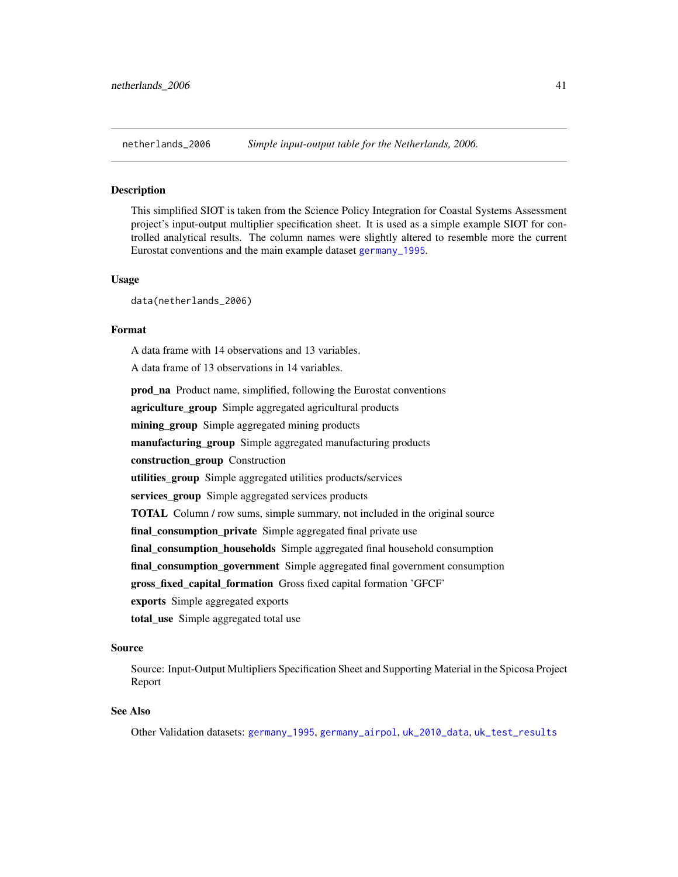<span id="page-40-1"></span><span id="page-40-0"></span>

### Description

This simplified SIOT is taken from the Science Policy Integration for Coastal Systems Assessment project's input-output multiplier specification sheet. It is used as a simple example SIOT for controlled analytical results. The column names were slightly altered to resemble more the current Eurostat conventions and the main example dataset [germany\\_1995](#page-15-1).

#### Usage

data(netherlands\_2006)

#### Format

A data frame with 14 observations and 13 variables.

A data frame of 13 observations in 14 variables.

prod\_na Product name, simplified, following the Eurostat conventions agriculture\_group Simple aggregated agricultural products mining\_group Simple aggregated mining products manufacturing\_group Simple aggregated manufacturing products construction\_group Construction utilities\_group Simple aggregated utilities products/services services\_group Simple aggregated services products TOTAL Column / row sums, simple summary, not included in the original source final\_consumption\_private Simple aggregated final private use final\_consumption\_households Simple aggregated final household consumption final\_consumption\_government Simple aggregated final government consumption gross\_fixed\_capital\_formation Gross fixed capital formation 'GFCF' exports Simple aggregated exports total\_use Simple aggregated total use

#### Source

Source: Input-Output Multipliers Specification Sheet and Supporting Material in the Spicosa Project Report

### See Also

Other Validation datasets: [germany\\_1995](#page-15-1), [germany\\_airpol](#page-16-1), [uk\\_2010\\_data](#page-48-1), [uk\\_test\\_results](#page-49-1)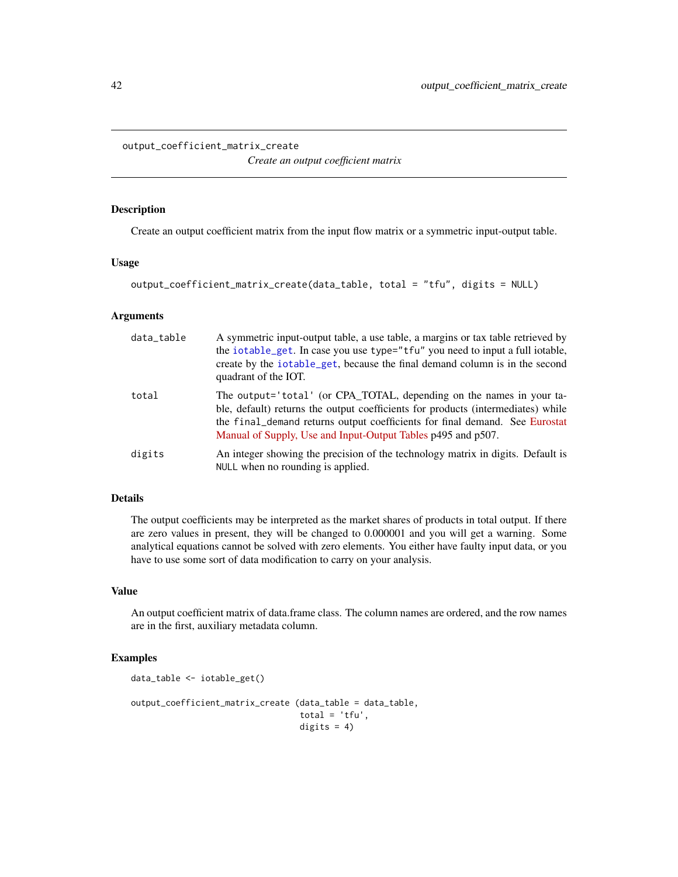<span id="page-41-1"></span><span id="page-41-0"></span>output\_coefficient\_matrix\_create

*Create an output coefficient matrix*

#### Description

Create an output coefficient matrix from the input flow matrix or a symmetric input-output table.

#### Usage

```
output_coefficient_matrix_create(data_table, total = "tfu", digits = NULL)
```
### Arguments

| data_table | A symmetric input-output table, a use table, a margins or tax table retrieved by<br>the iotable_get. In case you use type="tfu" you need to input a full iotable,<br>create by the iotable get, because the final demand column is in the second<br>quadrant of the IOT.                                |
|------------|---------------------------------------------------------------------------------------------------------------------------------------------------------------------------------------------------------------------------------------------------------------------------------------------------------|
| total      | The output='total' (or CPA_TOTAL, depending on the names in your ta-<br>ble, default) returns the output coefficients for products (intermediates) while<br>the final_demand returns output coefficients for final demand. See Eurostat<br>Manual of Supply, Use and Input-Output Tables p495 and p507. |
| digits     | An integer showing the precision of the technology matrix in digits. Default is<br>NULL when no rounding is applied.                                                                                                                                                                                    |

### Details

The output coefficients may be interpreted as the market shares of products in total output. If there are zero values in present, they will be changed to 0.000001 and you will get a warning. Some analytical equations cannot be solved with zero elements. You either have faulty input data, or you have to use some sort of data modification to carry on your analysis.

### Value

An output coefficient matrix of data.frame class. The column names are ordered, and the row names are in the first, auxiliary metadata column.

### Examples

```
data_table <- iotable_get()
output_coefficient_matrix_create (data_table = data_table,
                                  total = 'tfu',digits = 4)
```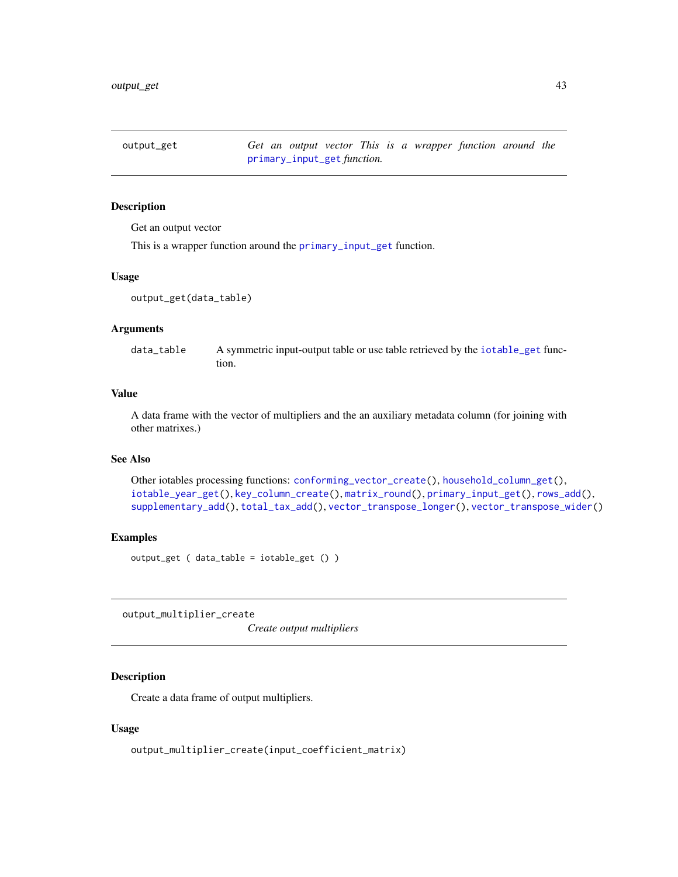<span id="page-42-1"></span><span id="page-42-0"></span>output\_get *Get an output vector This is a wrapper function around the* [primary\\_input\\_get](#page-44-1) *function.*

### Description

Get an output vector

This is a wrapper function around the [primary\\_input\\_get](#page-44-1) function.

#### Usage

```
output_get(data_table)
```
### Arguments

data\_table A symmetric input-output table or use table retrieved by the [iotable\\_get](#page-30-1) function.

#### Value

A data frame with the vector of multipliers and the an auxiliary metadata column (for joining with other matrixes.)

#### See Also

Other iotables processing functions: [conforming\\_vector\\_create\(](#page-5-1)), [household\\_column\\_get\(](#page-18-1)), [iotable\\_year\\_get\(](#page-32-1)), [key\\_column\\_create\(](#page-34-1)), [matrix\\_round\(](#page-36-1)), [primary\\_input\\_get\(](#page-44-1)), [rows\\_add\(](#page-44-2)), [supplementary\\_add\(](#page-45-1)), [total\\_tax\\_add\(](#page-47-1)), [vector\\_transpose\\_longer\(](#page-50-1)), [vector\\_transpose\\_wider\(](#page-51-1))

#### Examples

output\_get ( data\_table = iotable\_get () )

output\_multiplier\_create

*Create output multipliers*

### Description

Create a data frame of output multipliers.

#### Usage

output\_multiplier\_create(input\_coefficient\_matrix)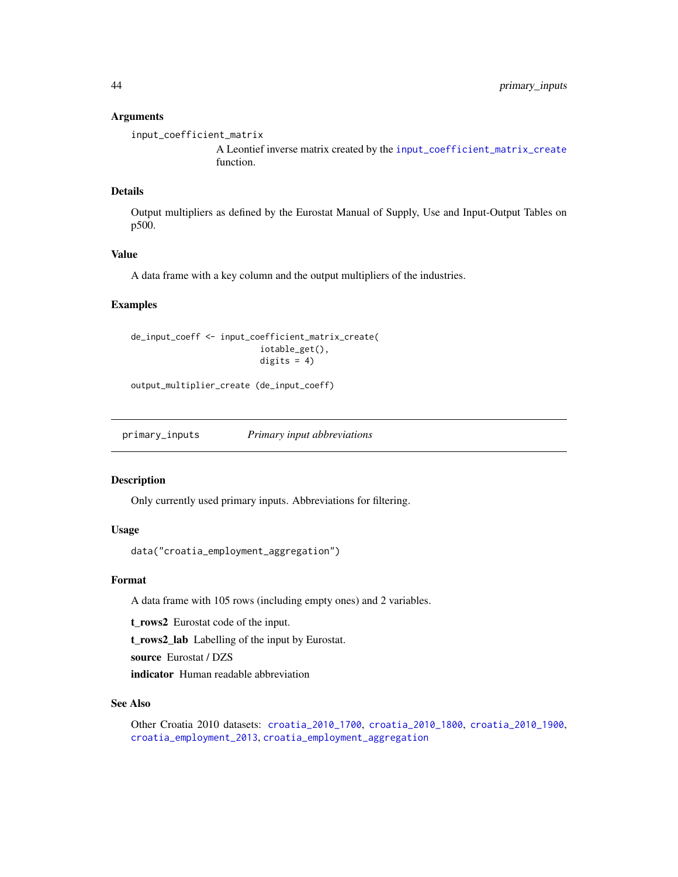### <span id="page-43-0"></span>Arguments

input\_coefficient\_matrix

A Leontief inverse matrix created by the [input\\_coefficient\\_matrix\\_create](#page-20-1) function.

### Details

Output multipliers as defined by the Eurostat Manual of Supply, Use and Input-Output Tables on p500.

### Value

A data frame with a key column and the output multipliers of the industries.

### Examples

```
de_input_coeff <- input_coefficient_matrix_create(
                          iotable_get(),
                          digits = 4)
```
output\_multiplier\_create (de\_input\_coeff)

<span id="page-43-1"></span>primary\_inputs *Primary input abbreviations*

### Description

Only currently used primary inputs. Abbreviations for filtering.

### Usage

data("croatia\_employment\_aggregation")

### Format

A data frame with 105 rows (including empty ones) and 2 variables.

t rows2 Eurostat code of the input.

t\_rows2\_lab Labelling of the input by Eurostat.

source Eurostat / DZS

indicator Human readable abbreviation

#### See Also

Other Croatia 2010 datasets: [croatia\\_2010\\_1700](#page-6-1), [croatia\\_2010\\_1800](#page-7-1), [croatia\\_2010\\_1900](#page-8-1), [croatia\\_employment\\_2013](#page-9-1), [croatia\\_employment\\_aggregation](#page-9-2)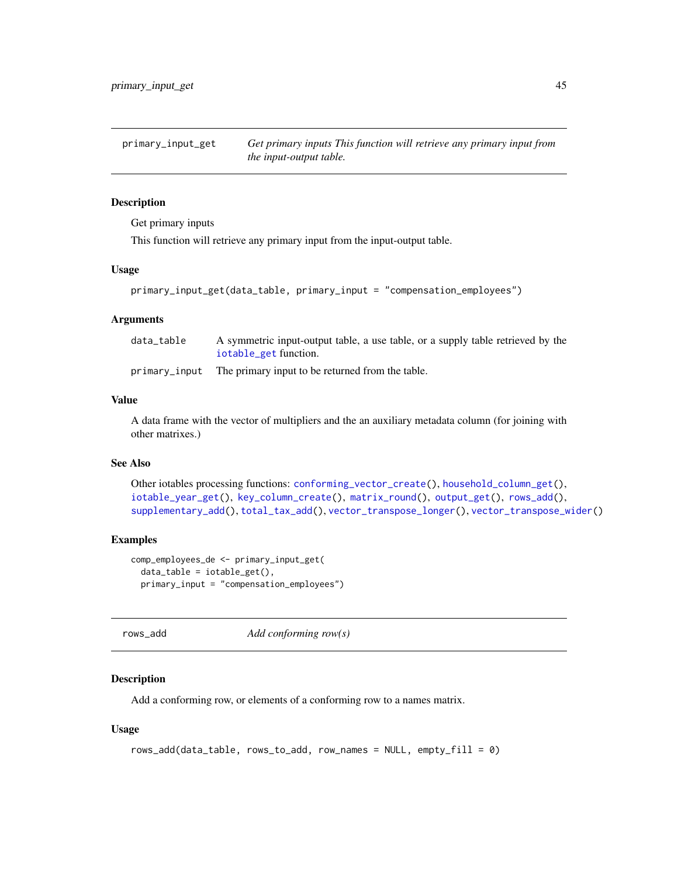<span id="page-44-1"></span><span id="page-44-0"></span>primary\_input\_get *Get primary inputs This function will retrieve any primary input from the input-output table.*

### Description

Get primary inputs

This function will retrieve any primary input from the input-output table.

### Usage

```
primary_input_get(data_table, primary_input = "compensation_employees")
```
### **Arguments**

| data table | A symmetric input-output table, a use table, or a supply table retrieved by the |
|------------|---------------------------------------------------------------------------------|
|            | iotable_get function.                                                           |
|            | primary_input The primary input to be returned from the table.                  |

#### Value

A data frame with the vector of multipliers and the an auxiliary metadata column (for joining with other matrixes.)

### See Also

Other iotables processing functions: [conforming\\_vector\\_create\(](#page-5-1)), [household\\_column\\_get\(](#page-18-1)), [iotable\\_year\\_get\(](#page-32-1)), [key\\_column\\_create\(](#page-34-1)), [matrix\\_round\(](#page-36-1)), [output\\_get\(](#page-42-1)), [rows\\_add\(](#page-44-2)), [supplementary\\_add\(](#page-45-1)), [total\\_tax\\_add\(](#page-47-1)), [vector\\_transpose\\_longer\(](#page-50-1)), [vector\\_transpose\\_wider\(](#page-51-1))

### Examples

```
comp_employees_de <- primary_input_get(
 data_table =iotable_set(),
 primary_input = "compensation_employees")
```
<span id="page-44-2"></span>rows\_add *Add conforming row(s)*

### Description

Add a conforming row, or elements of a conforming row to a names matrix.

#### Usage

```
rows_add(data_table, rows_to_add, row_names = NULL, empty_fill = 0)
```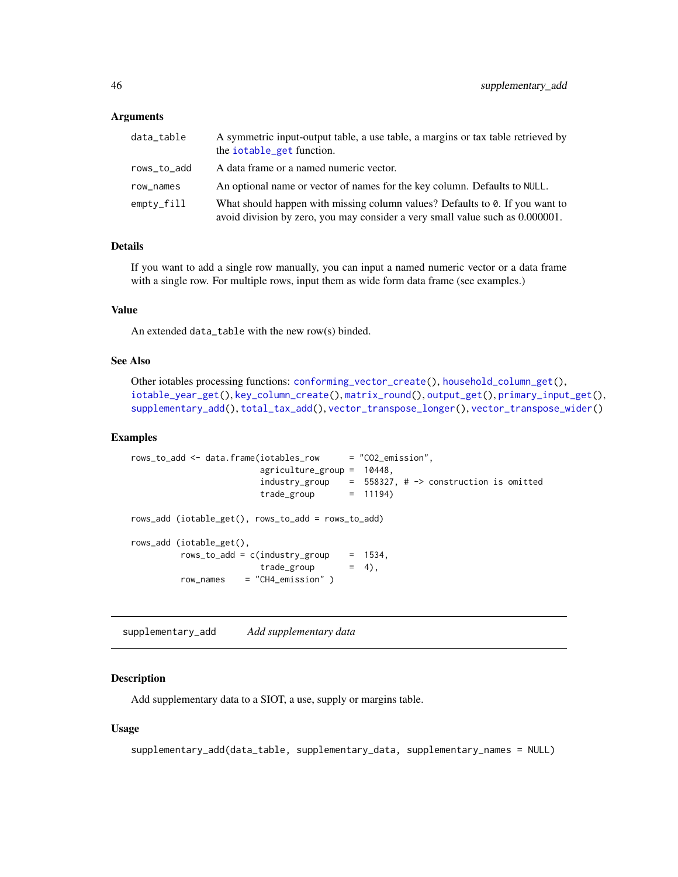### <span id="page-45-0"></span>**Arguments**

| data_table  | A symmetric input-output table, a use table, a margins or tax table retrieved by<br>the iotable_get function.                                                 |
|-------------|---------------------------------------------------------------------------------------------------------------------------------------------------------------|
| rows_to_add | A data frame or a named numeric vector.                                                                                                                       |
| row_names   | An optional name or vector of names for the key column. Defaults to NULL.                                                                                     |
| empty_fill  | What should happen with missing column values? Defaults to 0. If you want to<br>avoid division by zero, you may consider a very small value such as 0.000001. |

### Details

If you want to add a single row manually, you can input a named numeric vector or a data frame with a single row. For multiple rows, input them as wide form data frame (see examples.)

### Value

An extended data\_table with the new row(s) binded.

### See Also

```
Other iotables processing functions: conforming_vector_create(), household_column_get(),
iotable_year_get(), key_column_create(), matrix_round(), output_get(), primary_input_get(),
supplementary_add(), total_tax_add(), vector_transpose_longer(), vector_transpose_wider()
```
#### Examples

```
rows_to_add <- data.frame(iotables_row = "CO2_emission",
                        agriculture_group = 10448,
                        industry_group = 558327, # -> construction is omitted
                       trade\_group = 11194)
rows_add (iotable_get(), rows_to_add = rows_to_add)
rows_add (iotable_get(),
         rows_to_add = c(industry_group = 1534,
                       trade\_group = 4),
         row_names = "CH4_emission" )
```
<span id="page-45-1"></span>supplementary\_add *Add supplementary data*

#### Description

Add supplementary data to a SIOT, a use, supply or margins table.

#### Usage

```
supplementary_add(data_table, supplementary_data, supplementary_names = NULL)
```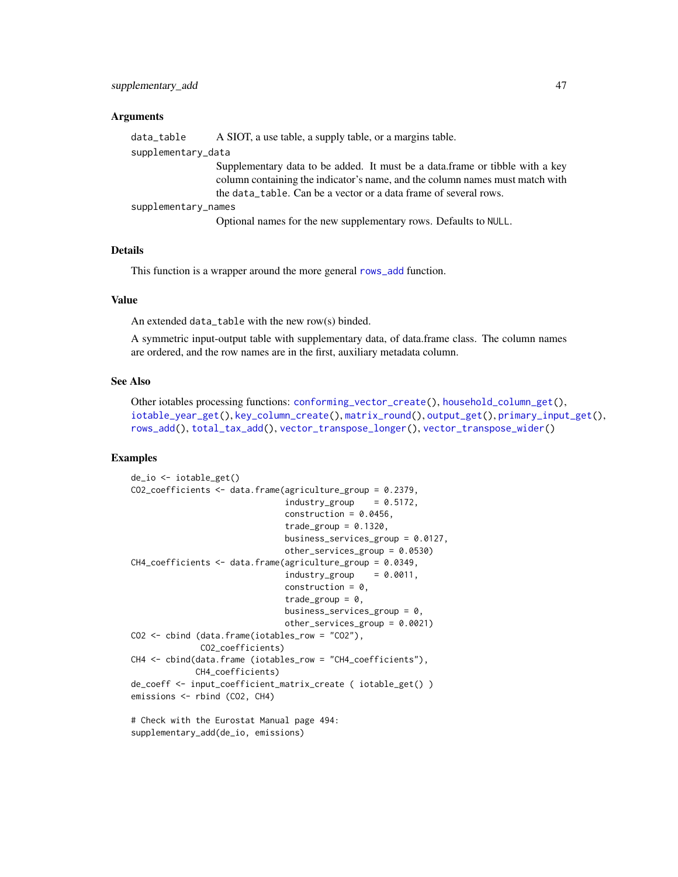#### <span id="page-46-0"></span>**Arguments**

data\_table A SIOT, a use table, a supply table, or a margins table.

supplementary\_data

Supplementary data to be added. It must be a data.frame or tibble with a key column containing the indicator's name, and the column names must match with the data\_table. Can be a vector or a data frame of several rows.

supplementary\_names

Optional names for the new supplementary rows. Defaults to NULL.

### Details

This function is a wrapper around the more general [rows\\_add](#page-44-2) function.

#### Value

An extended data\_table with the new row(s) binded.

A symmetric input-output table with supplementary data, of data.frame class. The column names are ordered, and the row names are in the first, auxiliary metadata column.

### See Also

```
Other iotables processing functions: conforming_vector_create(), household_column_get(),
iotable_year_get(), key_column_create(), matrix_round(), output_get(), primary_input_get(),
rows_add(), total_tax_add(), vector_transpose_longer(), vector_transpose_wider()
```
### Examples

```
de_io <- iotable_get()
CO2_coefficients <- data.frame(agriculture_group = 0.2379,
                               industry\_group = 0.5172,
                               construction = 0.0456,
                               trade_group = 0.1320,
                               business_services_group = 0.0127,
                               other_services_group = 0.0530)
CH4_coefficients <- data.frame(agriculture_group = 0.0349,
                               industry\_group = 0.0011,
                               construction = 0,
                               trade_group = 0,
                               business_services_group = 0,
                               other_services_group = 0.0021)
CO2 <- cbind (data.frame(iotables_row = "CO2"),
              CO2_coefficients)
CH4 <- cbind(data.frame (iotables_row = "CH4_coefficients"),
             CH4_coefficients)
de_coeff <- input_coefficient_matrix_create ( iotable_get() )
emissions <- rbind (CO2, CH4)
# Check with the Eurostat Manual page 494:
```
supplementary\_add(de\_io, emissions)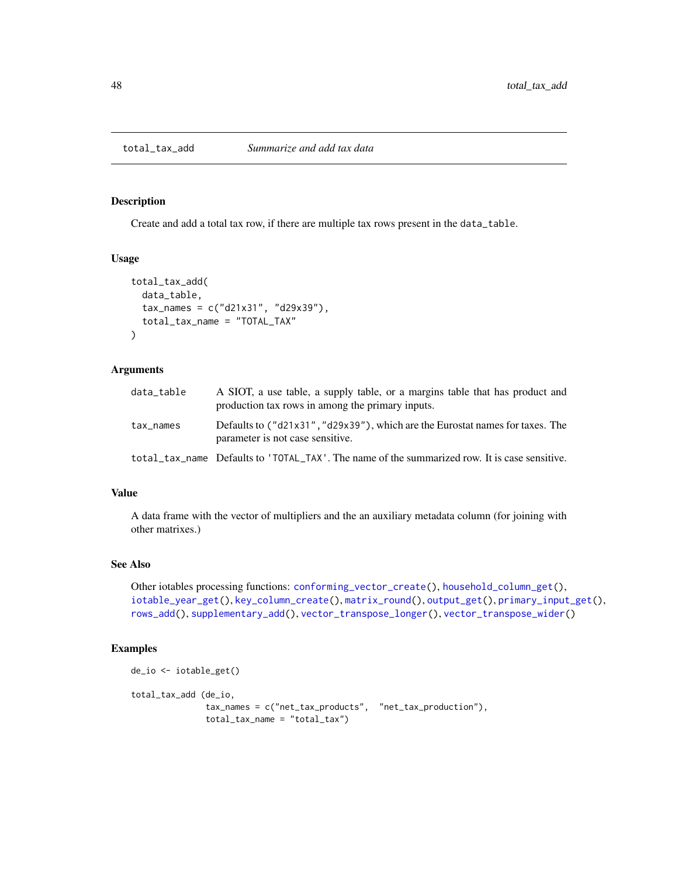<span id="page-47-1"></span><span id="page-47-0"></span>

### Description

Create and add a total tax row, if there are multiple tax rows present in the data\_table.

#### Usage

```
total_tax_add(
  data_table,
  tax_names = c("d21x31", "d29x39"),
  total_tax_name = "TOTAL_TAX"
\mathcal{E}
```
### Arguments

| data table | A SIOT, a use table, a supply table, or a margins table that has product and<br>production tax rows in among the primary inputs. |
|------------|----------------------------------------------------------------------------------------------------------------------------------|
| tax_names  | Defaults to ("d21x31", "d29x39"), which are the Eurostat names for taxes. The<br>parameter is not case sensitive.                |
|            | total_tax_name Defaults to 'TOTAL_TAX'. The name of the summarized row. It is case sensitive.                                    |

### Value

A data frame with the vector of multipliers and the an auxiliary metadata column (for joining with other matrixes.)

#### See Also

Other iotables processing functions: [conforming\\_vector\\_create\(](#page-5-1)), [household\\_column\\_get\(](#page-18-1)), [iotable\\_year\\_get\(](#page-32-1)), [key\\_column\\_create\(](#page-34-1)), [matrix\\_round\(](#page-36-1)), [output\\_get\(](#page-42-1)), [primary\\_input\\_get\(](#page-44-1)), [rows\\_add\(](#page-44-2)), [supplementary\\_add\(](#page-45-1)), [vector\\_transpose\\_longer\(](#page-50-1)), [vector\\_transpose\\_wider\(](#page-51-1))

#### Examples

```
de_io <- iotable_get()
total_tax_add (de_io,
               tax_names = c("net_tax_products", "net_tax_production"),
               total_tax_name = "total_tax")
```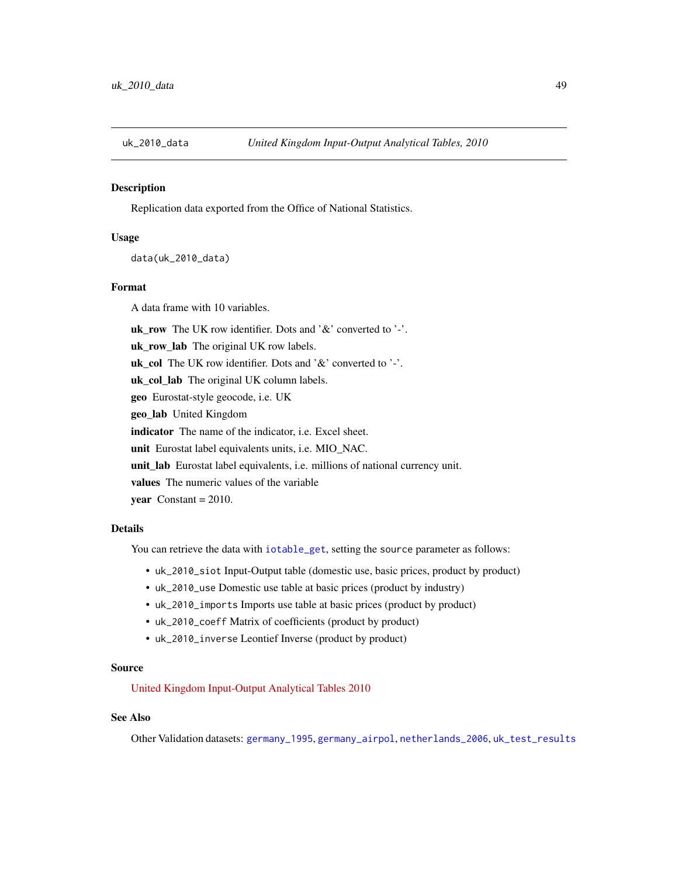<span id="page-48-1"></span><span id="page-48-0"></span>

### Description

Replication data exported from the Office of National Statistics.

### Usage

data(uk\_2010\_data)

### Format

A data frame with 10 variables.

uk\_row The UK row identifier. Dots and '&' converted to '-'.

uk\_row\_lab The original UK row labels.

uk\_col The UK row identifier. Dots and '&' converted to '-'.

uk\_col\_lab The original UK column labels.

geo Eurostat-style geocode, i.e. UK

geo\_lab United Kingdom

indicator The name of the indicator, i.e. Excel sheet.

unit Eurostat label equivalents units, i.e. MIO\_NAC.

unit\_lab Eurostat label equivalents, i.e. millions of national currency unit.

values The numeric values of the variable

year  $Constant = 2010$ .

#### Details

You can retrieve the data with [iotable\\_get](#page-30-1), setting the source parameter as follows:

- uk\_2010\_siot Input-Output table (domestic use, basic prices, product by product)
- uk\_2010\_use Domestic use table at basic prices (product by industry)
- uk\_2010\_imports Imports use table at basic prices (product by product)
- uk\_2010\_coeff Matrix of coefficients (product by product)
- uk\_2010\_inverse Leontief Inverse (product by product)

#### Source

[United Kingdom Input-Output Analytical Tables 2010](https://webarchive.nationalarchives.gov.uk/20160114044923/http://www.ons.gov.uk/ons/rel/input-output/input-output-analytical-tables/2010/index.html)

#### See Also

Other Validation datasets: [germany\\_1995](#page-15-1), [germany\\_airpol](#page-16-1), [netherlands\\_2006](#page-40-1), [uk\\_test\\_results](#page-49-1)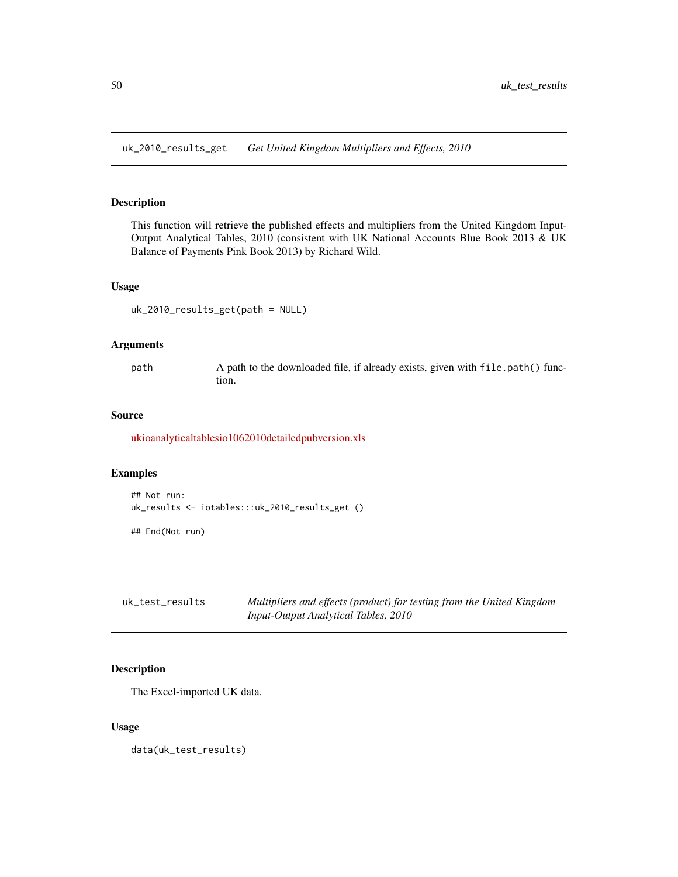<span id="page-49-0"></span>uk\_2010\_results\_get *Get United Kingdom Multipliers and Effects, 2010*

### Description

This function will retrieve the published effects and multipliers from the United Kingdom Input-Output Analytical Tables, 2010 (consistent with UK National Accounts Blue Book 2013 & UK Balance of Payments Pink Book 2013) by Richard Wild.

#### Usage

uk\_2010\_results\_get(path = NULL)

#### Arguments

path A path to the downloaded file, if already exists, given with file.path() function.

### Source

[ukioanalyticaltablesio1062010detailedpubversion.xls](https://www.ons.gov.uk/file?uri=/economy/nationalaccounts/supplyandusetables/datasets/ukinputoutputanalyticaltablesdetailed/2010detailed/ukioanalyticaltablesio1062010detailedpubversion.xls)

#### Examples

```
## Not run:
uk_results <- iotables:::uk_2010_results_get ()
```
## End(Not run)

<span id="page-49-1"></span>uk\_test\_results *Multipliers and effects (product) for testing from the United Kingdom Input-Output Analytical Tables, 2010*

### Description

The Excel-imported UK data.

#### Usage

data(uk\_test\_results)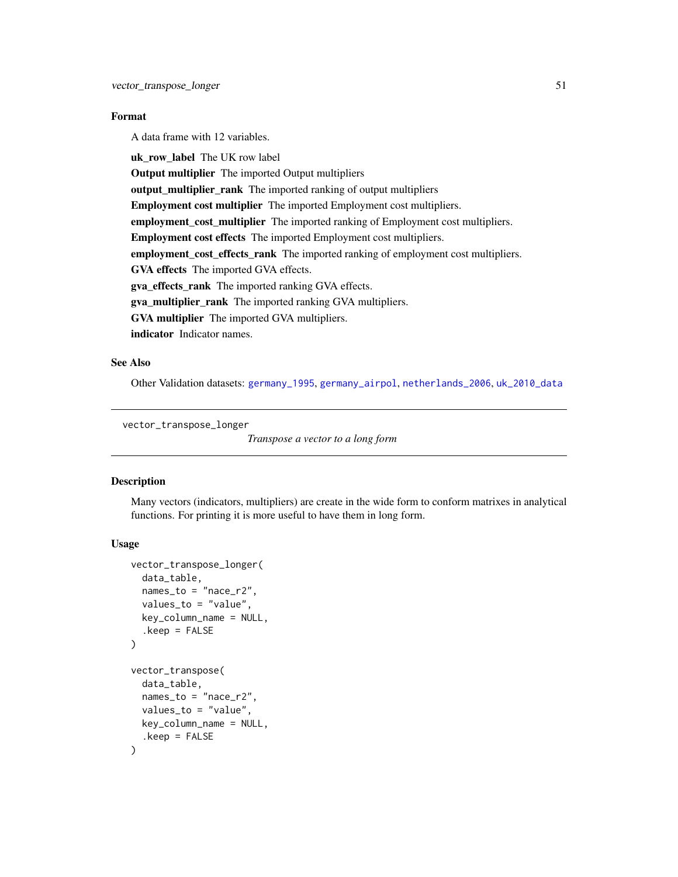### <span id="page-50-0"></span>Format

A data frame with 12 variables.

uk row label The UK row label Output multiplier The imported Output multipliers output\_multiplier\_rank The imported ranking of output multipliers Employment cost multiplier The imported Employment cost multipliers. employment\_cost\_multiplier The imported ranking of Employment cost multipliers. Employment cost effects The imported Employment cost multipliers. employment\_cost\_effects\_rank The imported ranking of employment cost multipliers. GVA effects The imported GVA effects. gva\_effects\_rank The imported ranking GVA effects. gva\_multiplier\_rank The imported ranking GVA multipliers. GVA multiplier The imported GVA multipliers. indicator Indicator names.

### See Also

Other Validation datasets: [germany\\_1995](#page-15-1), [germany\\_airpol](#page-16-1), [netherlands\\_2006](#page-40-1), [uk\\_2010\\_data](#page-48-1)

<span id="page-50-1"></span>vector\_transpose\_longer

*Transpose a vector to a long form*

### Description

Many vectors (indicators, multipliers) are create in the wide form to conform matrixes in analytical functions. For printing it is more useful to have them in long form.

### Usage

```
vector_transpose_longer(
 data_table,
 names_to = "nace_r2",
 values_to = "value",
 key_column_name = NULL,
  keep = FALSE)
vector_transpose(
 data_table,
 names_to = "nace_r2",
 values_to = "value",
 key_column_name = NULL,
  keep = FALSE)
```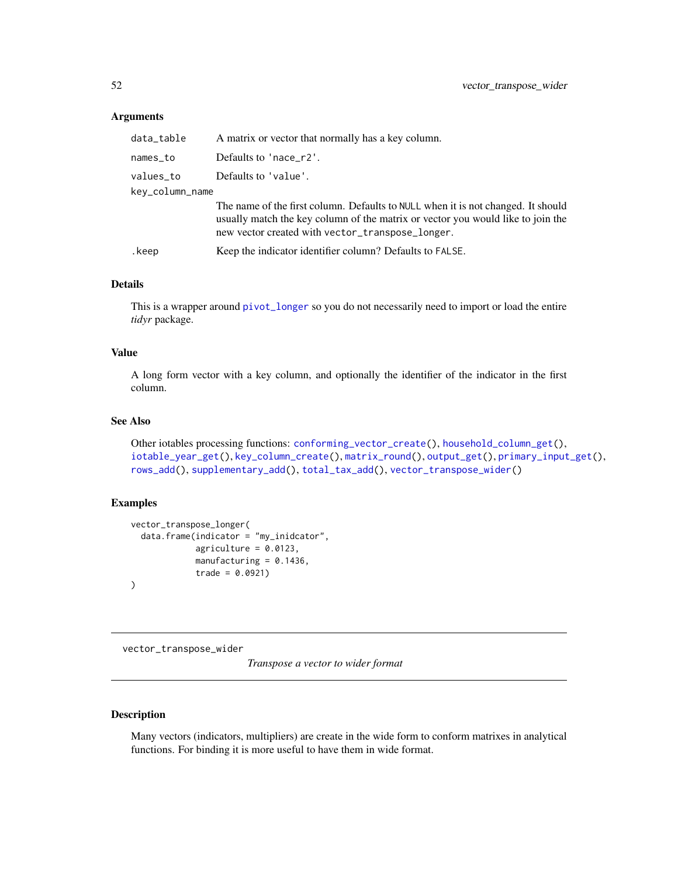#### <span id="page-51-0"></span>Arguments

| data_table      | A matrix or vector that normally has a key column.                                                                                                                                                                      |
|-----------------|-------------------------------------------------------------------------------------------------------------------------------------------------------------------------------------------------------------------------|
| names_to        | Defaults to 'nace_r2'.                                                                                                                                                                                                  |
| values_to       | Defaults to 'value'.                                                                                                                                                                                                    |
| key_column_name |                                                                                                                                                                                                                         |
|                 | The name of the first column. Defaults to NULL when it is not changed. It should<br>usually match the key column of the matrix or vector you would like to join the<br>new vector created with vector_transpose_longer. |
| .keep           | Keep the indicator identifier column? Defaults to FALSE.                                                                                                                                                                |

### Details

This is a wrapper around [pivot\\_longer](#page-0-0) so you do not necessarily need to import or load the entire *tidyr* package.

### Value

A long form vector with a key column, and optionally the identifier of the indicator in the first column.

### See Also

```
Other iotables processing functions: conforming_vector_create(), household_column_get(),
iotable_year_get(), key_column_create(), matrix_round(), output_get(), primary_input_get(),
rows_add(), supplementary_add(), total_tax_add(), vector_transpose_wider()
```
#### Examples

```
vector_transpose_longer(
  data.frame(indicator = "my_inidcator",
             agriculture = 0.0123,
             manufacturing = 0.1436,
             trade = 0.0921))
```
<span id="page-51-1"></span>vector\_transpose\_wider

*Transpose a vector to wider format*

### Description

Many vectors (indicators, multipliers) are create in the wide form to conform matrixes in analytical functions. For binding it is more useful to have them in wide format.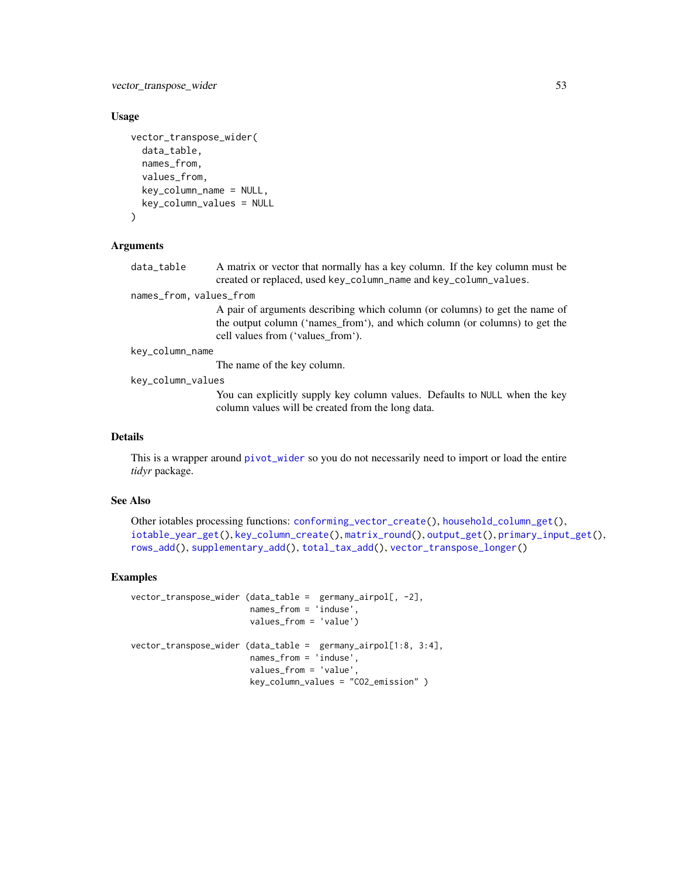<span id="page-52-0"></span>vector\_transpose\_wider 53

#### Usage

```
vector_transpose_wider(
  data_table,
  names_from,
  values_from,
  key_column_name = NULL,
  key_column_values = NULL
\lambda
```
### **Arguments**

data\_table A matrix or vector that normally has a key column. If the key column must be created or replaced, used key\_column\_name and key\_column\_values.

### names\_from, values\_from

A pair of arguments describing which column (or columns) to get the name of the output column ('names\_from'), and which column (or columns) to get the cell values from ('values\_from').

```
key_column_name
```
The name of the key column.

key\_column\_values

You can explicitly supply key column values. Defaults to NULL when the key column values will be created from the long data.

### Details

This is a wrapper around [pivot\\_wider](#page-0-0) so you do not necessarily need to import or load the entire *tidyr* package.

### See Also

```
Other iotables processing functions: conforming_vector_create(), household_column_get(),
iotable_year_get(), key_column_create(), matrix_round(), output_get(), primary_input_get(),
rows_add(), supplementary_add(), total_tax_add(), vector_transpose_longer()
```
#### Examples

```
vector_transpose_wider (data_table = germany_airpol[, -2],
                       names_from = 'induse',
                       values_from = 'value')
vector_transpose_wider (data_table = germany_airpol[1:8, 3:4],
                       names_from = 'induse',
                       values_from = 'value',
                       key_column_values = "CO2_emission" )
```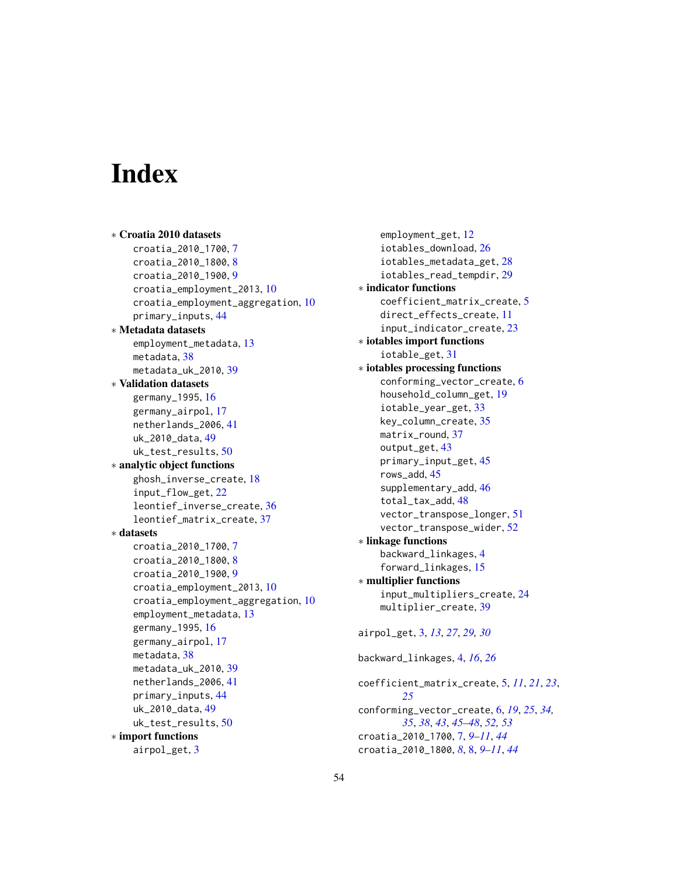# <span id="page-53-0"></span>**Index**

```
∗ Croatia 2010 datasets
    croatia_2010_1700, 7
    croatia_2010_1800, 8
    croatia_2010_1900, 9
    croatia_employment_2013, 10
    croatia_employment_aggregation, 10
    primary_inputs, 44
∗ Metadata datasets
    employment_metadata, 13
    metadata, 38
    metadata_uk_2010, 39
∗ Validation datasets
    germany_1995, 16
    germany_airpol, 17
    netherlands_2006, 41
    uk_2010_data, 49
    uk_test_results, 50
∗ analytic object functions
    ghosh_inverse_create, 18
    input_flow_get, 22
    leontief_inverse_create, 36
    leontief_matrix_create, 37
∗ datasets
    croatia_2010_1700, 7
    croatia_2010_1800, 8
    croatia_2010_1900, 9
    croatia_employment_2013, 10
    croatia_employment_aggregation, 10
    employment_metadata, 13
    germany_1995, 16
    germany_airpol, 17
    metadata, 38
    metadata_uk_2010, 39
    netherlands_2006, 41
    primary_inputs, 44
    uk_2010_data, 49
    uk_test_results, 50
∗ import functions
    airpol_get, 3
```
employment\_get, [12](#page-11-0) iotables\_download, [26](#page-25-0) iotables\_metadata\_get, [28](#page-27-0) iotables\_read\_tempdir, [29](#page-28-0) ∗ indicator functions coefficient\_matrix\_create, [5](#page-4-0) direct\_effects\_create, [11](#page-10-0) input\_indicator\_create, [23](#page-22-0) ∗ iotables import functions iotable\_get, [31](#page-30-0) ∗ iotables processing functions conforming\_vector\_create, [6](#page-5-0) household\_column\_get, [19](#page-18-0) iotable\_year\_get, [33](#page-32-0) key\_column\_create, [35](#page-34-0) matrix\_round, [37](#page-36-0) output\_get, [43](#page-42-0) primary\_input\_get, [45](#page-44-0) rows\_add, [45](#page-44-0) supplementary\_add, [46](#page-45-0) total\_tax\_add, [48](#page-47-0) vector\_transpose\_longer, [51](#page-50-0) vector\_transpose\_wider, [52](#page-51-0) ∗ linkage functions backward\_linkages, [4](#page-3-0) forward\_linkages, [15](#page-14-0) ∗ multiplier functions input\_multipliers\_create, [24](#page-23-0) multiplier\_create, [39](#page-38-0) airpol\_get, [3,](#page-2-0) *[13](#page-12-0)*, *[27](#page-26-0)*, *[29,](#page-28-0) [30](#page-29-0)* backward\_linkages, [4,](#page-3-0) *[16](#page-15-0)*, *[26](#page-25-0)* coefficient\_matrix\_create, [5,](#page-4-0) *[11](#page-10-0)*, *[21](#page-20-0)*, *[23](#page-22-0)*, *[25](#page-24-0)* conforming\_vector\_create, [6,](#page-5-0) *[19](#page-18-0)*, *[25](#page-24-0)*, *[34,](#page-33-0) [35](#page-34-0)*, *[38](#page-37-0)*, *[43](#page-42-0)*, *[45](#page-44-0)[–48](#page-47-0)*, *[52,](#page-51-0) [53](#page-52-0)*

croatia\_2010\_1700, [7,](#page-6-0) *[9](#page-8-0)[–11](#page-10-0)*, *[44](#page-43-0)* croatia\_2010\_1800, *[8](#page-7-0)*, [8,](#page-7-0) *[9](#page-8-0)[–11](#page-10-0)*, *[44](#page-43-0)*